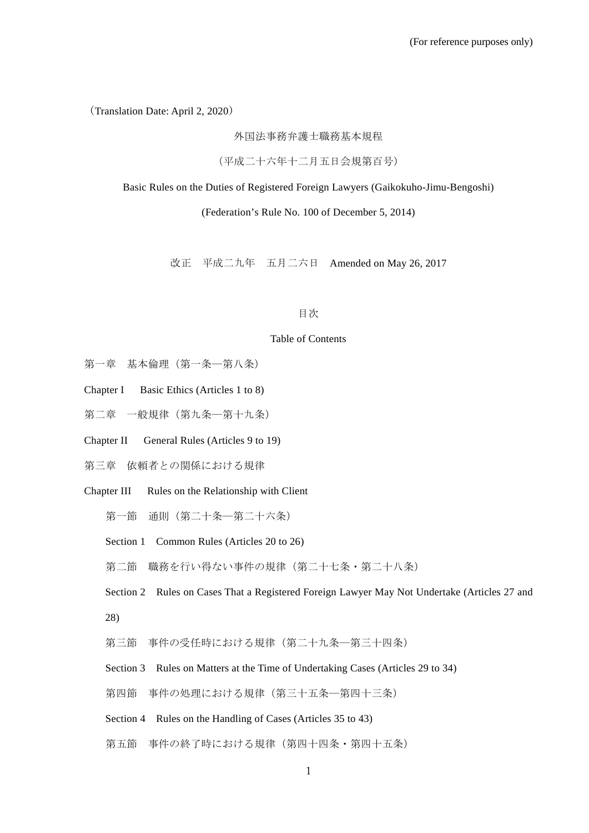(Translation Date: April 2, 2020)

外国法事務弁護士職務基本規程

(平成二十六年十二月五日会規第百号)

Basic Rules on the Duties of Registered Foreign Lawyers (Gaikokuho-Jimu-Bengoshi)

(Federation's Rule No. 100 of December 5, 2014)

改正 平成二九年 五月二六日 Amended on May 26, 2017

#### 目次

#### Table of Contents

- 第一章 基本倫理(第一条―第八条)
- Chapter I Basic Ethics (Articles 1 to 8)
- 第二章 一般規律(第九条—第十九条)
- Chapter II General Rules (Articles 9 to 19)
- 第三章 依頼者との関係における規律
- Chapter III Rules on the Relationship with Client
	- 第一節 通則(第二十条―第二十六条)
	- Section 1 Common Rules (Articles 20 to 26)
	- 第二節 職務を行い得ない事件の規律(第二十七条・第二十八条)

Section 2 Rules on Cases That a Registered Foreign Lawyer May Not Undertake (Articles 27 and 28)

- 第三節 事件の受任時における規律(第二十九条―第三十四条)
- Section 3 Rules on Matters at the Time of Undertaking Cases (Articles 29 to 34)
- 第四節 事件の処理における規律(第三十五条―第四十三条)
- Section 4 Rules on the Handling of Cases (Articles 35 to 43)
- 第五節 事件の終了時における規律(第四十四条・第四十五条)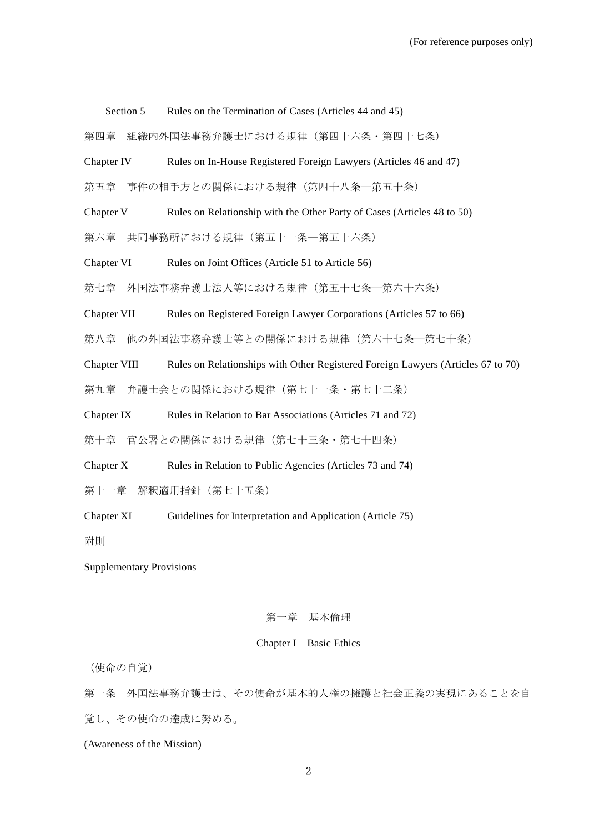Section 5 Rules on the Termination of Cases (Articles 44 and 45)

第四章 組織内外国法事務弁護士における規律(第四十六条・第四十七条)

Chapter IV Rules on In-House Registered Foreign Lawyers (Articles 46 and 47)

第五章 事件の相手方との関係における規律(第四十八条―第五十条)

Chapter V Rules on Relationship with the Other Party of Cases (Articles 48 to 50)

第六章 共同事務所における規律(第五十一条―第五十六条)

Chapter VI Rules on Joint Offices (Article 51 to Article 56)

第七章 外国法事務弁護士法人等における規律(第五十七条―第六十六条)

Chapter VII Rules on Registered Foreign Lawyer Corporations (Articles 57 to 66)

第八章 他の外国法事務弁護士等との関係における規律(第六十七条―第七十条)

Chapter VIII Rules on Relationships with Other Registered Foreign Lawyers (Articles 67 to 70)

第九章 弁護士会との関係における規律(第七十一条・第七十二条)

Chapter IX Rules in Relation to Bar Associations (Articles 71 and 72)

第十章 官公署との関係における規律(第七十三条・第七十四条)

Chapter X Rules in Relation to Public Agencies (Articles 73 and 74)

第十一章 解釈適用指針(第七十五条)

Chapter XI Guidelines for Interpretation and Application (Article 75)

附則

Supplementary Provisions

#### 第一章 基本倫理

#### Chapter I Basic Ethics

(使命の自覚)

第一条 外国法事務弁護士は、その使命が基本的人権の擁護と社会正義の実現にあることを自 覚し、その使命の達成に努める。

(Awareness of the Mission)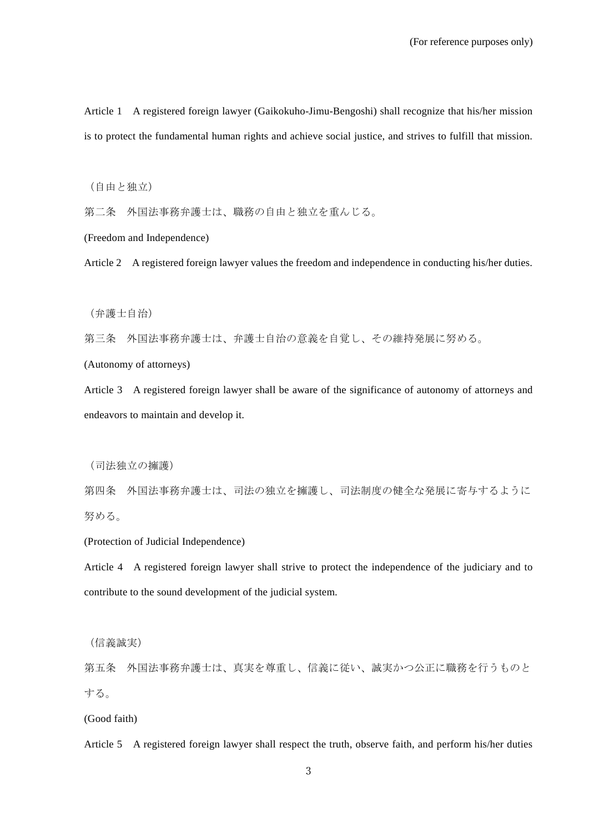Article 1 A registered foreign lawyer (Gaikokuho-Jimu-Bengoshi) shall recognize that his/her mission is to protect the fundamental human rights and achieve social justice, and strives to fulfill that mission.

(自由と独立)

第二条 外国法事務弁護士は、職務の自由と独立を重んじる。

(Freedom and Independence)

Article 2 A registered foreign lawyer values the freedom and independence in conducting his/her duties.

(弁護士自治)

第三条 外国法事務弁護士は、弁護士自治の意義を自覚し、その維持発展に努める。

(Autonomy of attorneys)

Article 3 A registered foreign lawyer shall be aware of the significance of autonomy of attorneys and endeavors to maintain and develop it.

(司法独立の擁護)

第四条 外国法事務弁護士は、司法の独立を擁護し、司法制度の健全な発展に寄与するように 努める。

(Protection of Judicial Independence)

Article 4 A registered foreign lawyer shall strive to protect the independence of the judiciary and to contribute to the sound development of the judicial system.

(信義誠実)

第五条 外国法事務弁護士は、真実を尊重し、信義に従い、誠実かつ公正に職務を行うものと する。

(Good faith)

Article 5 A registered foreign lawyer shall respect the truth, observe faith, and perform his/her duties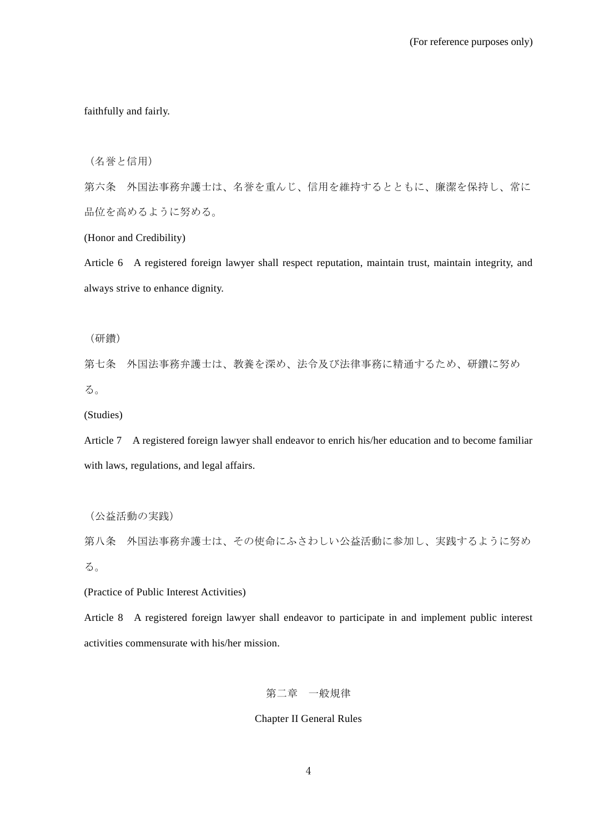faithfully and fairly.

(名誉と信用)

第六条 外国法事務弁護士は、名誉を重んじ、信用を維持するとともに、廉潔を保持し、常に 品位を高めるように努める。

(Honor and Credibility)

Article 6 A registered foreign lawyer shall respect reputation, maintain trust, maintain integrity, and always strive to enhance dignity.

(研鑽)

第七条 外国法事務弁護士は、教養を深め、法令及び法律事務に精通するため、研鑽に努め る。

(Studies)

Article 7 A registered foreign lawyer shall endeavor to enrich his/her education and to become familiar with laws, regulations, and legal affairs.

(公益活動の実践)

第八条 外国法事務弁護士は、その使命にふさわしい公益活動に参加し、実践するように努め る。

(Practice of Public Interest Activities)

Article 8 A registered foreign lawyer shall endeavor to participate in and implement public interest activities commensurate with his/her mission.

# 第二章 一般規律

# Chapter II General Rules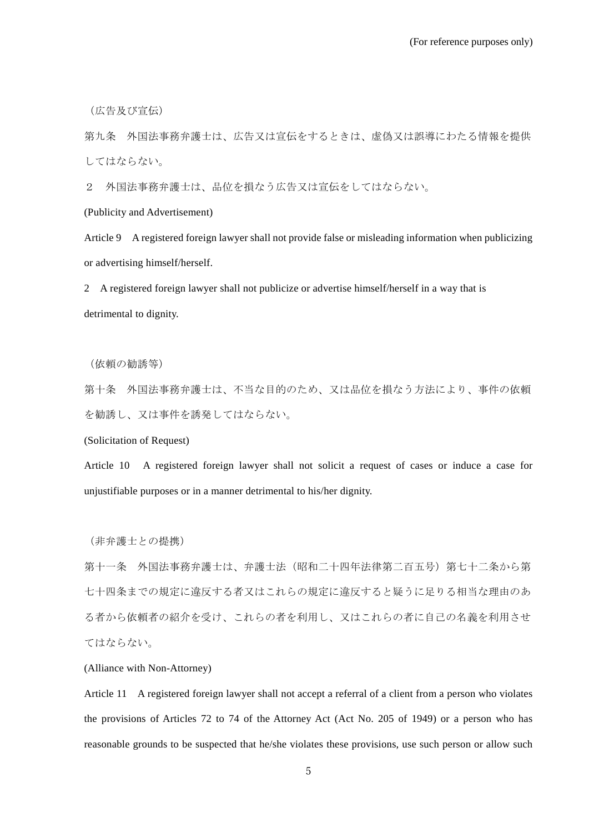(広告及び宣伝)

第九条 外国法事務弁護士は、広告又は宣伝をするときは、虚偽又は誤導にわたる情報を提供 してはならない。

2 外国法事務弁護士は、品位を損なう広告又は宣伝をしてはならない。

(Publicity and Advertisement)

Article 9 A registered foreign lawyer shall not provide false or misleading information when publicizing or advertising himself/herself.

2 A registered foreign lawyer shall not publicize or advertise himself/herself in a way that is detrimental to dignity.

(依頼の勧誘等)

第十条 外国法事務弁護士は、不当な目的のため、又は品位を損なう方法により、事件の依頼 を勧誘し、又は事件を誘発してはならない。

(Solicitation of Request)

Article 10 A registered foreign lawyer shall not solicit a request of cases or induce a case for unjustifiable purposes or in a manner detrimental to his/her dignity.

(非弁護士との提携)

第十一条 外国法事務弁護士は、弁護士法(昭和二十四年法律第二百五号)第七十二条から第 七十四条までの規定に違反する者又はこれらの規定に違反すると疑うに足りる相当な理由のあ る者から依頼者の紹介を受け、これらの者を利用し、又はこれらの者に自己の名義を利用させ てはならない。

(Alliance with Non-Attorney)

Article 11 A registered foreign lawyer shall not accept a referral of a client from a person who violates the provisions of Articles 72 to 74 of the Attorney Act (Act No. 205 of 1949) or a person who has reasonable grounds to be suspected that he/she violates these provisions, use such person or allow such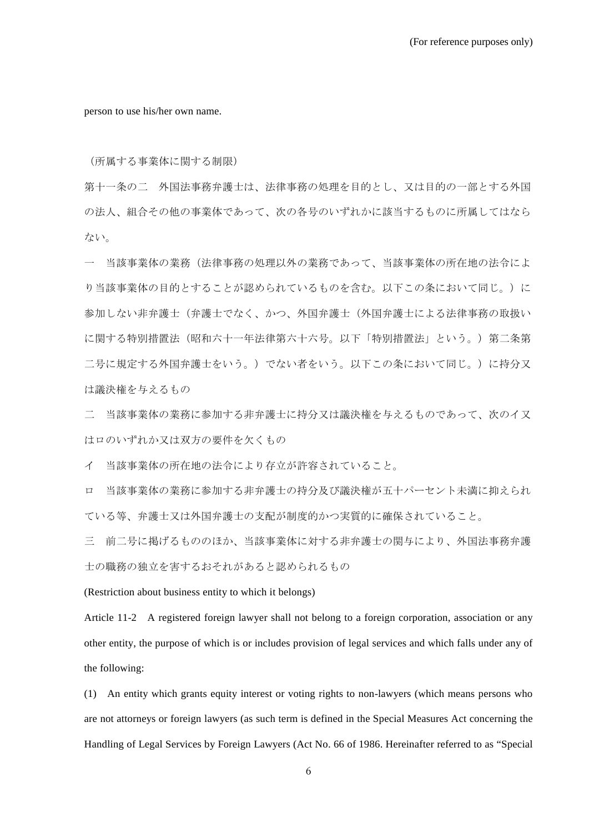person to use his/her own name.

(所属する事業体に関する制限)

第十一条の二 外国法事務弁護士は、法律事務の処理を目的とし、又は目的の一部とする外国 の法人、組合その他の事業体であって、次の各号のいずれかに該当するものに所属してはなら ない。

一 当該事業体の業務(法律事務の処理以外の業務であって、当該事業体の所在地の法令によ り当該事業体の目的とすることが認められているものを含む。以下この条において同じ。)に 参加しない非弁護士(弁護士でなく、かつ、外国弁護士(外国弁護士による法律事務の取扱い に関する特別措置法(昭和六十一年法律第六十六号。以下「特別措置法」という。)第二条第 二号に規定する外国弁護士をいう。)でない者をいう。以下この条において同じ。)に持分又 は議決権を与えるもの

二 当該事業体の業務に参加する非弁護士に持分又は議決権を与えるものであって、次のイ又 はロのいずれか又は双方の要件を欠くもの

イ 当該事業体の所在地の法令により存立が許容されていること。

ロ 当該事業体の業務に参加する非弁護士の持分及び議決権が五十パーセント未満に抑えられ ている等、弁護士又は外国弁護士の支配が制度的かつ実質的に確保されていること。

三 前二号に掲げるもののほか、当該事業体に対する非弁護士の関与により、外国法事務弁護 士の職務の独立を害するおそれがあると認められるもの

(Restriction about business entity to which it belongs)

Article 11-2 A registered foreign lawyer shall not belong to a foreign corporation, association or any other entity, the purpose of which is or includes provision of legal services and which falls under any of the following:

(1) An entity which grants equity interest or voting rights to non-lawyers (which means persons who are not attorneys or foreign lawyers (as such term is defined in the Special Measures Act concerning the Handling of Legal Services by Foreign Lawyers (Act No. 66 of 1986. Hereinafter referred to as "Special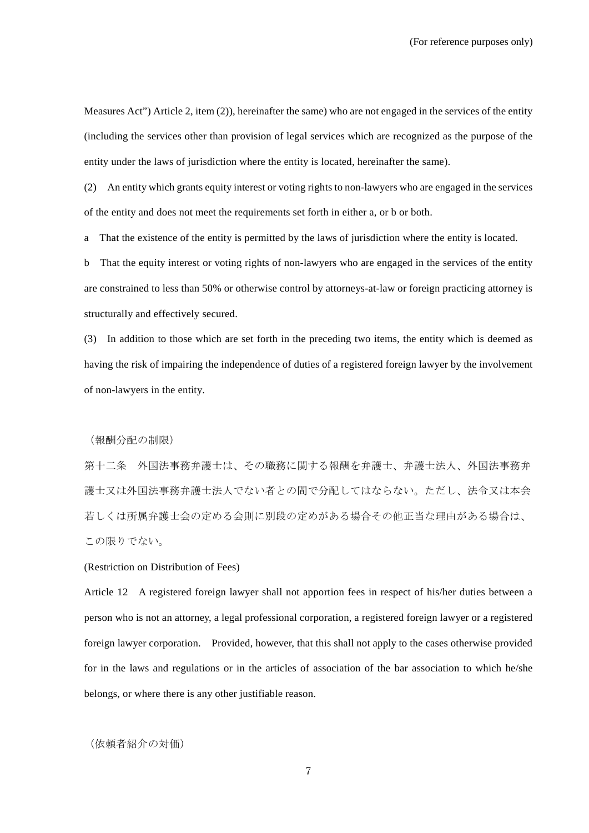Measures Act") Article 2, item (2)), hereinafter the same) who are not engaged in the services of the entity (including the services other than provision of legal services which are recognized as the purpose of the entity under the laws of jurisdiction where the entity is located, hereinafter the same).

(2) An entity which grants equity interest or voting rights to non-lawyers who are engaged in the services of the entity and does not meet the requirements set forth in either a, or b or both.

a That the existence of the entity is permitted by the laws of jurisdiction where the entity is located.

b That the equity interest or voting rights of non-lawyers who are engaged in the services of the entity are constrained to less than 50% or otherwise control by attorneys-at-law or foreign practicing attorney is structurally and effectively secured.

(3) In addition to those which are set forth in the preceding two items, the entity which is deemed as having the risk of impairing the independence of duties of a registered foreign lawyer by the involvement of non-lawyers in the entity.

(報酬分配の制限)

第十二条 外国法事務弁護士は、その職務に関する報酬を弁護士、弁護士法人、外国法事務弁 護士又は外国法事務弁護士法人でない者との間で分配してはならない。ただし、法令又は本会 若しくは所属弁護士会の定める会則に別段の定めがある場合その他正当な理由がある場合は、 この限りでない。

### (Restriction on Distribution of Fees)

Article 12 A registered foreign lawyer shall not apportion fees in respect of his/her duties between a person who is not an attorney, a legal professional corporation, a registered foreign lawyer or a registered foreign lawyer corporation. Provided, however, that this shall not apply to the cases otherwise provided for in the laws and regulations or in the articles of association of the bar association to which he/she belongs, or where there is any other justifiable reason.

### (依頼者紹介の対価)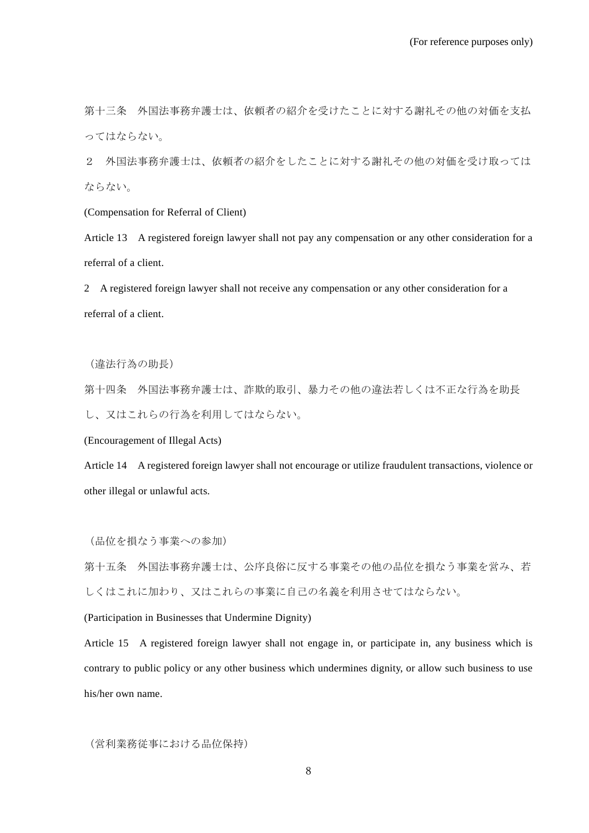第十三条 外国法事務弁護士は、依頼者の紹介を受けたことに対する謝礼その他の対価を支払 ってはならない。

2 外国法事務弁護士は、依頼者の紹介をしたことに対する謝礼その他の対価を受け取っては ならない。

(Compensation for Referral of Client)

Article 13 A registered foreign lawyer shall not pay any compensation or any other consideration for a referral of a client.

2 A registered foreign lawyer shall not receive any compensation or any other consideration for a referral of a client.

(違法行為の助長)

第十四条 外国法事務弁護士は、詐欺的取引、暴力その他の違法若しくは不正な行為を助長

し、又はこれらの行為を利用してはならない。

(Encouragement of Illegal Acts)

Article 14 A registered foreign lawyer shall not encourage or utilize fraudulent transactions, violence or other illegal or unlawful acts.

(品位を損なう事業への参加)

第十五条 外国法事務弁護士は、公序良俗に反する事業その他の品位を損なう事業を営み、若 しくはこれに加わり、又はこれらの事業に自己の名義を利用させてはならない。

(Participation in Businesses that Undermine Dignity)

Article 15 A registered foreign lawyer shall not engage in, or participate in, any business which is contrary to public policy or any other business which undermines dignity, or allow such business to use his/her own name.

(営利業務従事における品位保持)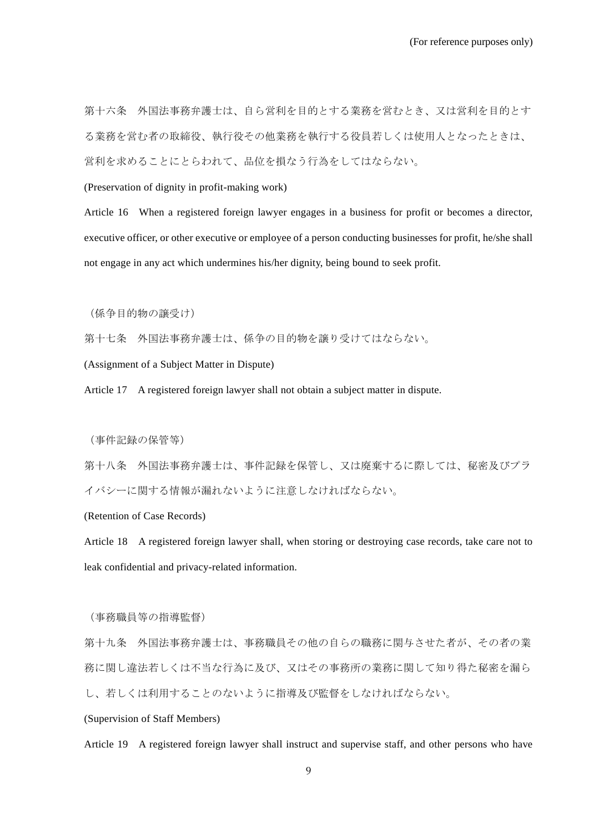第十六条 外国法事務弁護士は、自ら営利を目的とする業務を営むとき、又は営利を目的とす る業務を営む者の取締役、執行役その他業務を執行する役員若しくは使用人となったときは、 営利を求めることにとらわれて、品位を損なう行為をしてはならない。

(Preservation of dignity in profit-making work)

Article 16 When a registered foreign lawyer engages in a business for profit or becomes a director, executive officer, or other executive or employee of a person conducting businesses for profit, he/she shall not engage in any act which undermines his/her dignity, being bound to seek profit.

(係争目的物の譲受け)

第十七条 外国法事務弁護士は、係争の目的物を譲り受けてはならない。

(Assignment of a Subject Matter in Dispute)

Article 17 A registered foreign lawyer shall not obtain a subject matter in dispute.

(事件記録の保管等)

第十八条 外国法事務弁護士は、事件記録を保管し、又は廃棄するに際しては、秘密及びプラ イバシーに関する情報が漏れないように注意しなければならない。

(Retention of Case Records)

Article 18 A registered foreign lawyer shall, when storing or destroying case records, take care not to leak confidential and privacy-related information.

(事務職員等の指導監督)

第十九条 外国法事務弁護士は、事務職員その他の自らの職務に関与させた者が、その者の業 務に関し違法若しくは不当な行為に及び、又はその事務所の業務に関して知り得た秘密を漏ら し、若しくは利用することのないように指導及び監督をしなければならない。

# (Supervision of Staff Members)

Article 19 A registered foreign lawyer shall instruct and supervise staff, and other persons who have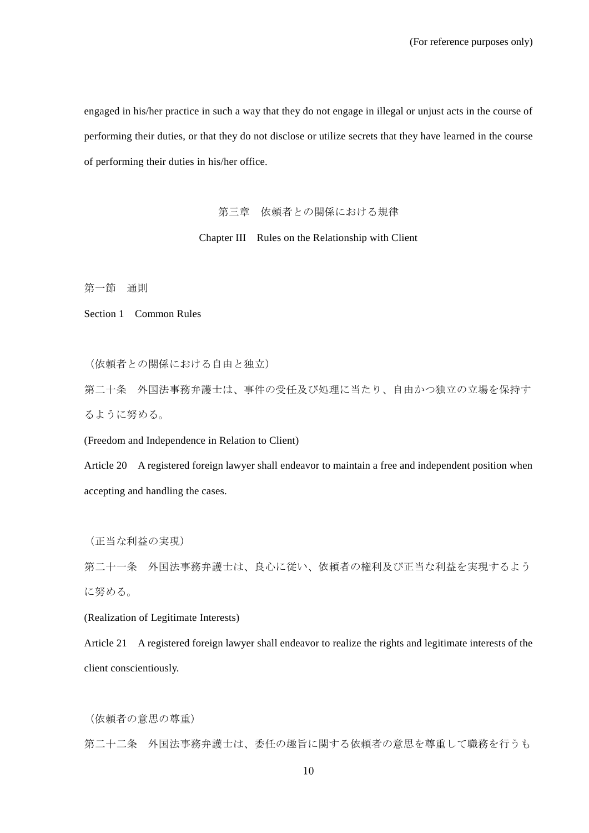engaged in his/her practice in such a way that they do not engage in illegal or unjust acts in the course of performing their duties, or that they do not disclose or utilize secrets that they have learned in the course of performing their duties in his/her office.

# 第三章 依頼者との関係における規律

# Chapter III Rules on the Relationship with Client

第一節 通則

Section 1 Common Rules

(依頼者との関係における自由と独立)

第二十条 外国法事務弁護士は、事件の受任及び処理に当たり、自由かつ独立の立場を保持す るように努める。

(Freedom and Independence in Relation to Client)

Article 20 A registered foreign lawyer shall endeavor to maintain a free and independent position when accepting and handling the cases.

(正当な利益の実現)

第二十一条 外国法事務弁護士は、良心に従い、依頼者の権利及び正当な利益を実現するよう に努める。

(Realization of Legitimate Interests)

Article 21 A registered foreign lawyer shall endeavor to realize the rights and legitimate interests of the client conscientiously.

(依頼者の意思の尊重)

第二十二条 外国法事務弁護士は、委任の趣旨に関する依頼者の意思を尊重して職務を行うも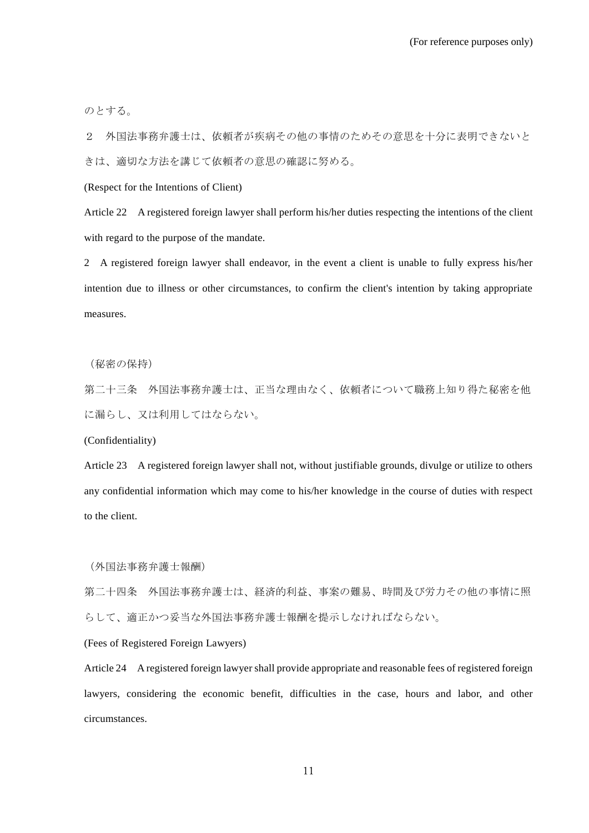のとする。

2 外国法事務弁護士は、依頼者が疾病その他の事情のためその意思を十分に表明できないと きは、適切な方法を講じて依頼者の意思の確認に努める。

(Respect for the Intentions of Client)

Article 22 A registered foreign lawyer shall perform his/her duties respecting the intentions of the client with regard to the purpose of the mandate.

2 A registered foreign lawyer shall endeavor, in the event a client is unable to fully express his/her intention due to illness or other circumstances, to confirm the client's intention by taking appropriate measures.

(秘密の保持)

第二十三条 外国法事務弁護士は、正当な理由なく、依頼者について職務上知り得た秘密を他 に漏らし、又は利用してはならない。

(Confidentiality)

Article 23 A registered foreign lawyer shall not, without justifiable grounds, divulge or utilize to others any confidential information which may come to his/her knowledge in the course of duties with respect to the client.

(外国法事務弁護士報酬)

第二十四条 外国法事務弁護士は、経済的利益、事案の難易、時間及び労力その他の事情に照 らして、適正かつ妥当な外国法事務弁護士報酬を提示しなければならない。

(Fees of Registered Foreign Lawyers)

Article 24 A registered foreign lawyer shall provide appropriate and reasonable fees of registered foreign lawyers, considering the economic benefit, difficulties in the case, hours and labor, and other circumstances.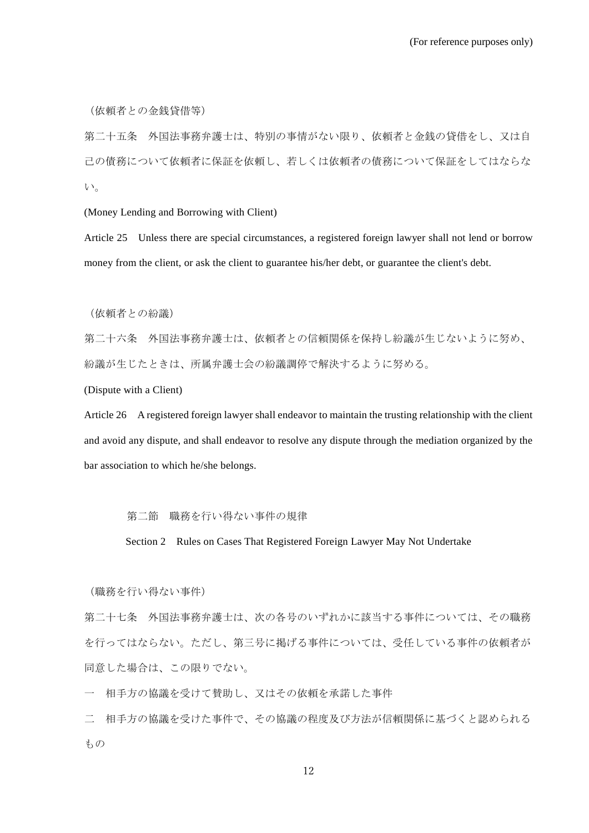(依頼者との金銭貸借等)

第二十五条 外国法事務弁護士は、特別の事情がない限り、依頼者と金銭の貸借をし、又は自 己の債務について依頼者に保証を依頼し、若しくは依頼者の債務について保証をしてはならな い。

(Money Lending and Borrowing with Client)

Article 25 Unless there are special circumstances, a registered foreign lawyer shall not lend or borrow money from the client, or ask the client to guarantee his/her debt, or guarantee the client's debt.

(依頼者との紛議)

第二十六条 外国法事務弁護士は、依頼者との信頼関係を保持し紛議が生じないように努め、 紛議が生じたときは、所属弁護士会の紛議調停で解決するように努める。

(Dispute with a Client)

Article 26 A registered foreign lawyer shall endeavor to maintain the trusting relationship with the client and avoid any dispute, and shall endeavor to resolve any dispute through the mediation organized by the bar association to which he/she belongs.

#### 第二節 職務を行い得ない事件の規律

Section 2 Rules on Cases That Registered Foreign Lawyer May Not Undertake

(職務を行い得ない事件)

第二十七条 外国法事務弁護士は、次の各号のいずれかに該当する事件については、その職務 を行ってはならない。ただし、第三号に掲げる事件については、受任している事件の依頼者が 同意した場合は、この限りでない。

一 相手方の協議を受けて賛助し、又はその依頼を承諾した事件

二 相手方の協議を受けた事件で、その協議の程度及び方法が信頼関係に基づくと認められる もの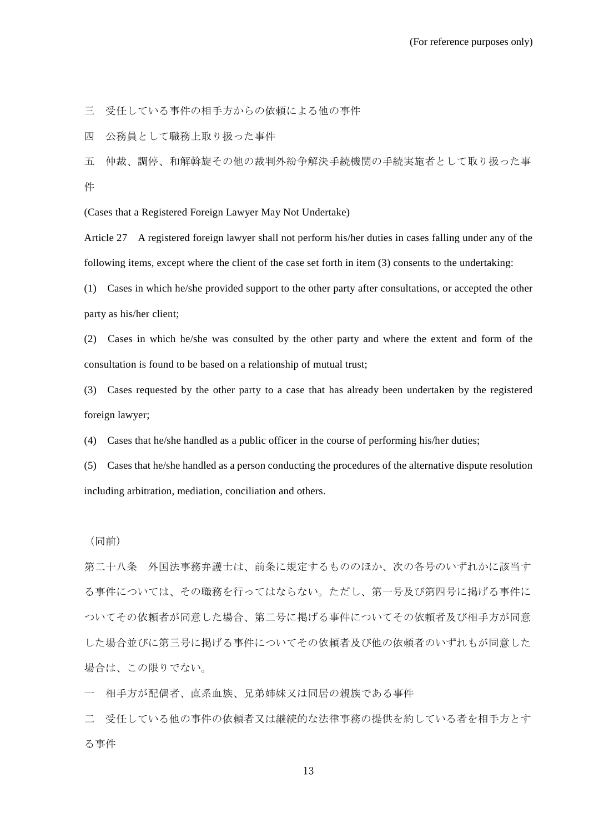三 受任している事件の相手方からの依頼による他の事件

四 公務員として職務上取り扱った事件

五 仲裁、調停、和解斡旋その他の裁判外紛争解決手続機関の手続実施者として取り扱った事 件

(Cases that a Registered Foreign Lawyer May Not Undertake)

Article 27 A registered foreign lawyer shall not perform his/her duties in cases falling under any of the following items, except where the client of the case set forth in item (3) consents to the undertaking:

(1) Cases in which he/she provided support to the other party after consultations, or accepted the other party as his/her client;

(2) Cases in which he/she was consulted by the other party and where the extent and form of the consultation is found to be based on a relationship of mutual trust;

(3) Cases requested by the other party to a case that has already been undertaken by the registered foreign lawyer;

(4) Cases that he/she handled as a public officer in the course of performing his/her duties;

(5) Cases that he/she handled as a person conducting the procedures of the alternative dispute resolution including arbitration, mediation, conciliation and others.

(同前)

第二十八条 外国法事務弁護士は、前条に規定するもののほか、次の各号のいずれかに該当す る事件については、その職務を行ってはならない。ただし、第一号及び第四号に掲げる事件に ついてその依頼者が同意した場合、第二号に掲げる事件についてその依頼者及び相手方が同意 した場合並びに第三号に掲げる事件についてその依頼者及び他の依頼者のいずれもが同意した 場合は、この限りでない。

一 相手方が配偶者、直系血族、兄弟姉妹又は同居の親族である事件

二 受任している他の事件の依頼者又は継続的な法律事務の提供を約している者を相手方とす る事件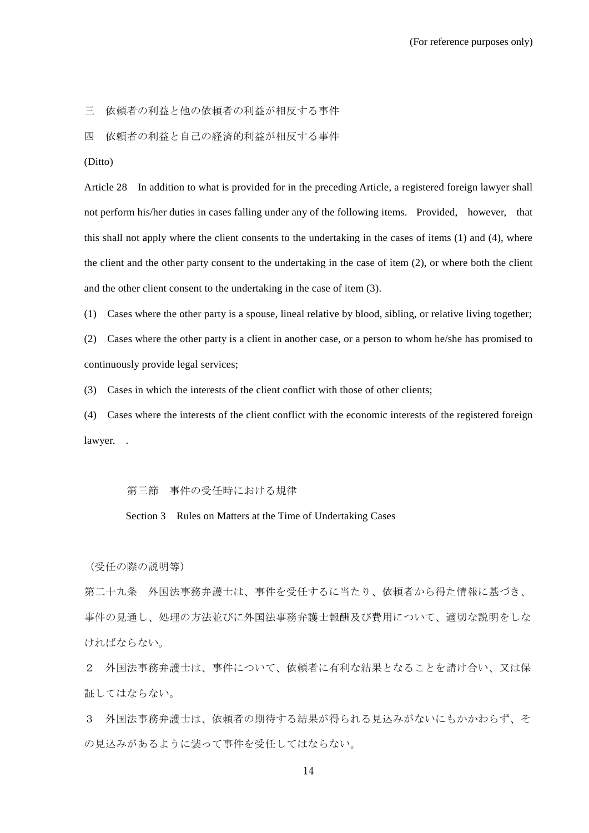三 依頼者の利益と他の依頼者の利益が相反する事件

四 依頼者の利益と自己の経済的利益が相反する事件

(Ditto)

Article 28 In addition to what is provided for in the preceding Article, a registered foreign lawyer shall not perform his/her duties in cases falling under any of the following items. Provided, however, that this shall not apply where the client consents to the undertaking in the cases of items (1) and (4), where the client and the other party consent to the undertaking in the case of item (2), or where both the client and the other client consent to the undertaking in the case of item (3).

(1) Cases where the other party is a spouse, lineal relative by blood, sibling, or relative living together;

(2) Cases where the other party is a client in another case, or a person to whom he/she has promised to continuously provide legal services;

(3) Cases in which the interests of the client conflict with those of other clients;

(4) Cases where the interests of the client conflict with the economic interests of the registered foreign lawyer. .

第三節 事件の受任時における規律

Section 3 Rules on Matters at the Time of Undertaking Cases

(受任の際の説明等)

第二十九条 外国法事務弁護士は、事件を受任するに当たり、依頼者から得た情報に基づき、 事件の見通し、処理の方法並びに外国法事務弁護士報酬及び費用について、適切な説明をしな ければならない。

2 外国法事務弁護士は、事件について、依頼者に有利な結果となることを請け合い、又は保 証してはならない。

3 外国法事務弁護士は、依頼者の期待する結果が得られる見込みがないにもかかわらず、そ の見込みがあるように装って事件を受任してはならない。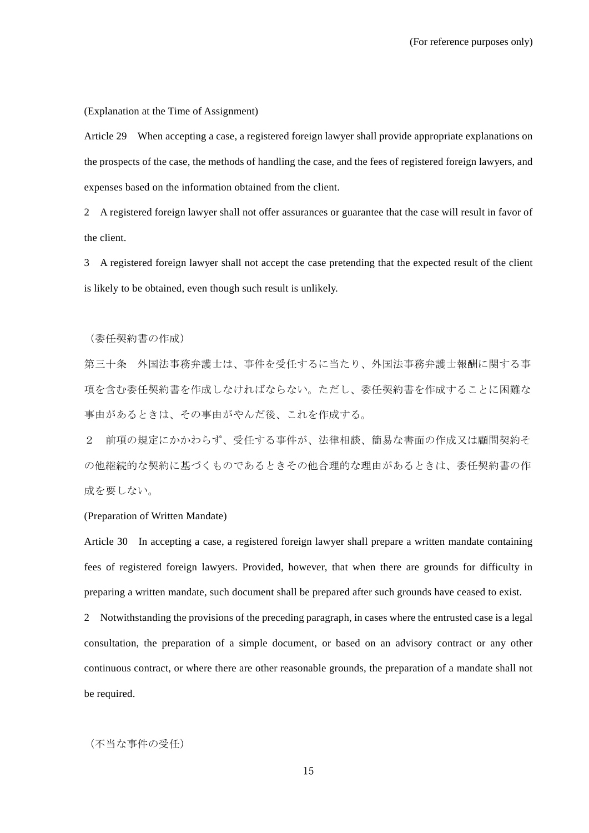(Explanation at the Time of Assignment)

Article 29 When accepting a case, a registered foreign lawyer shall provide appropriate explanations on the prospects of the case, the methods of handling the case, and the fees of registered foreign lawyers, and expenses based on the information obtained from the client.

2 A registered foreign lawyer shall not offer assurances or guarantee that the case will result in favor of the client.

3 A registered foreign lawyer shall not accept the case pretending that the expected result of the client is likely to be obtained, even though such result is unlikely.

(委任契約書の作成)

第三十条 外国法事務弁護士は、事件を受任するに当たり、外国法事務弁護士報酬に関する事 項を含む委任契約書を作成しなければならない。ただし、委任契約書を作成することに困難な 事由があるときは、その事由がやんだ後、これを作成する。

2 前項の規定にかかわらず、受任する事件が、法律相談、簡易な書面の作成又は顧問契約そ の他継続的な契約に基づくものであるときその他合理的な理由があるときは、委任契約書の作 成を要しない。

(Preparation of Written Mandate)

Article 30 In accepting a case, a registered foreign lawyer shall prepare a written mandate containing fees of registered foreign lawyers. Provided, however, that when there are grounds for difficulty in preparing a written mandate, such document shall be prepared after such grounds have ceased to exist.

2 Notwithstanding the provisions of the preceding paragraph, in cases where the entrusted case is a legal consultation, the preparation of a simple document, or based on an advisory contract or any other continuous contract, or where there are other reasonable grounds, the preparation of a mandate shall not be required.

(不当な事件の受任)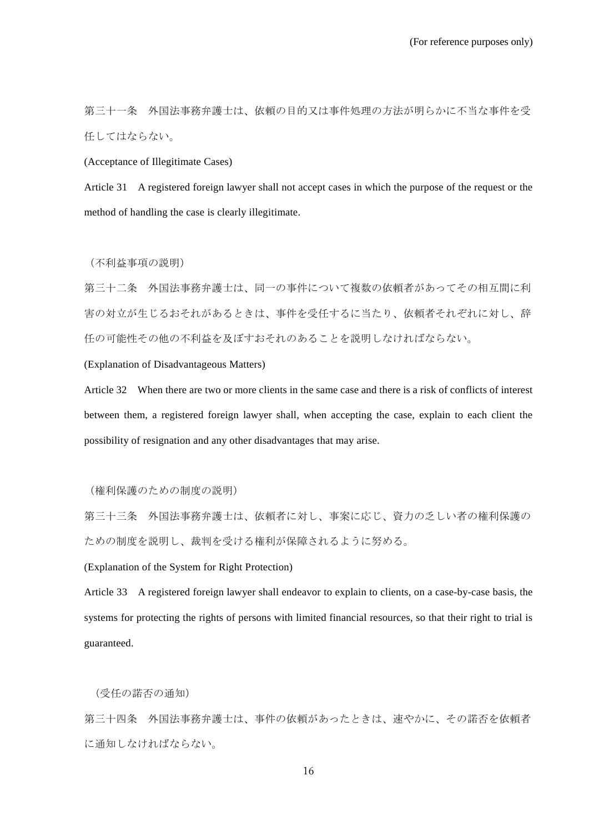第三十一条 外国法事務弁護士は、依頼の目的又は事件処理の方法が明らかに不当な事件を受 任してはならない。

(Acceptance of Illegitimate Cases)

Article 31 A registered foreign lawyer shall not accept cases in which the purpose of the request or the method of handling the case is clearly illegitimate.

(不利益事項の説明)

第三十二条 外国法事務弁護士は、同一の事件について複数の依頼者があってその相互間に利 害の対立が生じるおそれがあるときは、事件を受任するに当たり、依頼者それぞれに対し、辞 任の可能性その他の不利益を及ぼすおそれのあることを説明しなければならない。

(Explanation of Disadvantageous Matters)

Article 32 When there are two or more clients in the same case and there is a risk of conflicts of interest between them, a registered foreign lawyer shall, when accepting the case, explain to each client the possibility of resignation and any other disadvantages that may arise.

(権利保護のための制度の説明)

第三十三条 外国法事務弁護士は、依頼者に対し、事案に応じ、資力の乏しい者の権利保護の ための制度を説明し、裁判を受ける権利が保障されるように努める。

(Explanation of the System for Right Protection)

Article 33 A registered foreign lawyer shall endeavor to explain to clients, on a case-by-case basis, the systems for protecting the rights of persons with limited financial resources, so that their right to trial is guaranteed.

(受任の諾否の通知)

第三十四条 外国法事務弁護士は、事件の依頼があったときは、速やかに、その諾否を依頼者 に通知しなければならない。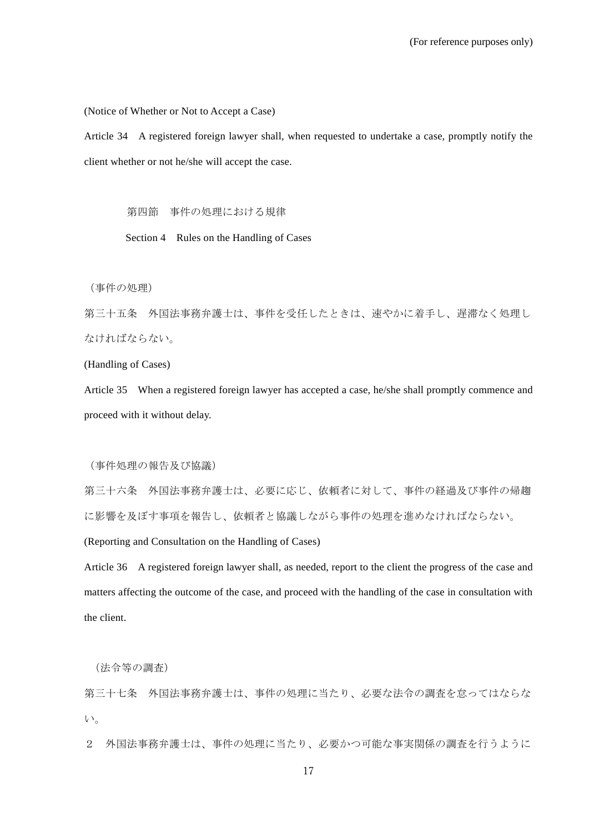(Notice of Whether or Not to Accept a Case)

Article 34 A registered foreign lawyer shall, when requested to undertake a case, promptly notify the client whether or not he/she will accept the case.

第四節 事件の処理における規律

Section 4 Rules on the Handling of Cases

(事件の処理)

第三十五条 外国法事務弁護士は、事件を受任したときは、速やかに着手し、遅滞なく処理し なければならない。

(Handling of Cases)

Article 35 When a registered foreign lawyer has accepted a case, he/she shall promptly commence and proceed with it without delay.

(事件処理の報告及び協議)

第三十六条 外国法事務弁護士は、必要に応じ、依頼者に対して、事件の経過及び事件の帰趨 に影響を及ぼす事項を報告し、依頼者と協議しながら事件の処理を進めなければならない。

(Reporting and Consultation on the Handling of Cases)

Article 36 A registered foreign lawyer shall, as needed, report to the client the progress of the case and matters affecting the outcome of the case, and proceed with the handling of the case in consultation with the client.

(法令等の調査)

第三十七条 外国法事務弁護士は、事件の処理に当たり、必要な法令の調査を怠ってはならな い。

2 外国法事務弁護士は、事件の処理に当たり、必要かつ可能な事実関係の調査を行うように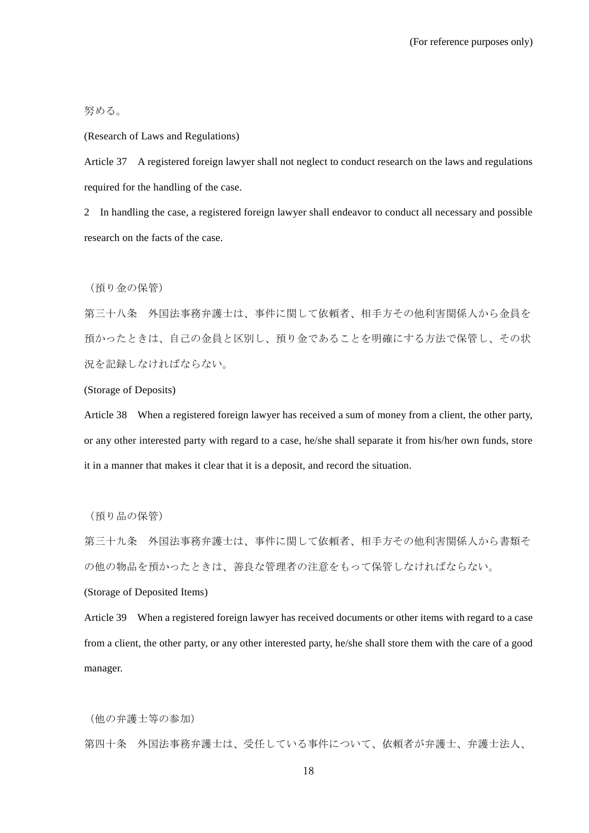努める。

(Research of Laws and Regulations)

Article 37 A registered foreign lawyer shall not neglect to conduct research on the laws and regulations required for the handling of the case.

2 In handling the case, a registered foreign lawyer shall endeavor to conduct all necessary and possible research on the facts of the case.

(預り金の保管)

第三十八条 外国法事務弁護士は、事件に関して依頼者、相手方その他利害関係人から金員を 預かったときは、自己の金員と区別し、預り金であることを明確にする方法で保管し、その状 況を記録しなければならない。

(Storage of Deposits)

Article 38 When a registered foreign lawyer has received a sum of money from a client, the other party, or any other interested party with regard to a case, he/she shall separate it from his/her own funds, store it in a manner that makes it clear that it is a deposit, and record the situation.

(預り品の保管)

第三十九条 外国法事務弁護士は、事件に関して依頼者、相手方その他利害関係人から書類そ の他の物品を預かったときは、善良な管理者の注意をもって保管しなければならない。

(Storage of Deposited Items)

Article 39 When a registered foreign lawyer has received documents or other items with regard to a case from a client, the other party, or any other interested party, he/she shall store them with the care of a good manager.

(他の弁護士等の参加)

第四十条 外国法事務弁護士は、受任している事件について、依頼者が弁護士、弁護士法人、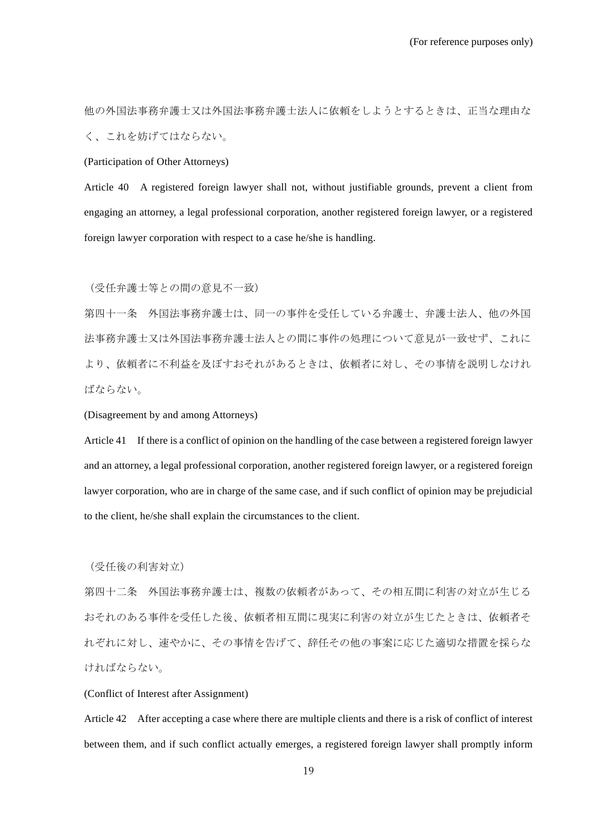他の外国法事務弁護士又は外国法事務弁護士法人に依頼をしようとするときは、正当な理由な く、これを妨げてはならない。

(Participation of Other Attorneys)

Article 40 A registered foreign lawyer shall not, without justifiable grounds, prevent a client from engaging an attorney, a legal professional corporation, another registered foreign lawyer, or a registered foreign lawyer corporation with respect to a case he/she is handling.

(受任弁護士等との間の意見不一致)

第四十一条 外国法事務弁護士は、同一の事件を受任している弁護士、弁護士法人、他の外国 法事務弁護士又は外国法事務弁護士法人との間に事件の処理について意見が一致せず、これに より、依頼者に不利益を及ぼすおそれがあるときは、依頼者に対し、その事情を説明しなけれ ばならない。

(Disagreement by and among Attorneys)

Article 41 If there is a conflict of opinion on the handling of the case between a registered foreign lawyer and an attorney, a legal professional corporation, another registered foreign lawyer, or a registered foreign lawyer corporation, who are in charge of the same case, and if such conflict of opinion may be prejudicial to the client, he/she shall explain the circumstances to the client.

(受任後の利害対立)

第四十二条 外国法事務弁護士は、複数の依頼者があって、その相互間に利害の対立が生じる おそれのある事件を受任した後、依頼者相互間に現実に利害の対立が生じたときは、依頼者そ れぞれに対し、速やかに、その事情を告げて、辞任その他の事案に応じた適切な措置を採らな ければならない。

(Conflict of Interest after Assignment)

Article 42 After accepting a case where there are multiple clients and there is a risk of conflict of interest between them, and if such conflict actually emerges, a registered foreign lawyer shall promptly inform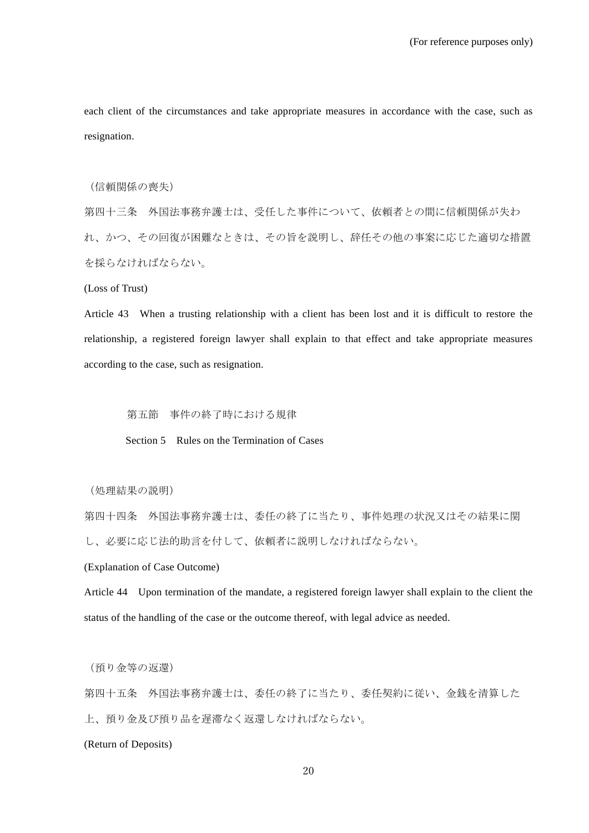each client of the circumstances and take appropriate measures in accordance with the case, such as resignation.

(信頼関係の喪失)

第四十三条 外国法事務弁護士は、受任した事件について、依頼者との間に信頼関係が失わ れ、かつ、その回復が困難なときは、その旨を説明し、辞任その他の事案に応じた適切な措置 を採らなければならない。

(Loss of Trust)

Article 43 When a trusting relationship with a client has been lost and it is difficult to restore the relationship, a registered foreign lawyer shall explain to that effect and take appropriate measures according to the case, such as resignation.

第五節 事件の終了時における規律

Section 5 Rules on the Termination of Cases

(処理結果の説明)

第四十四条 外国法事務弁護士は、委任の終了に当たり、事件処理の状況又はその結果に関 し、必要に応じ法的助言を付して、依頼者に説明しなければならない。

(Explanation of Case Outcome)

Article 44 Upon termination of the mandate, a registered foreign lawyer shall explain to the client the status of the handling of the case or the outcome thereof, with legal advice as needed.

(預り金等の返還)

第四十五条 外国法事務弁護士は、委任の終了に当たり、委任契約に従い、金銭を清算した 上、預り金及び預り品を遅滞なく返還しなければならない。

(Return of Deposits)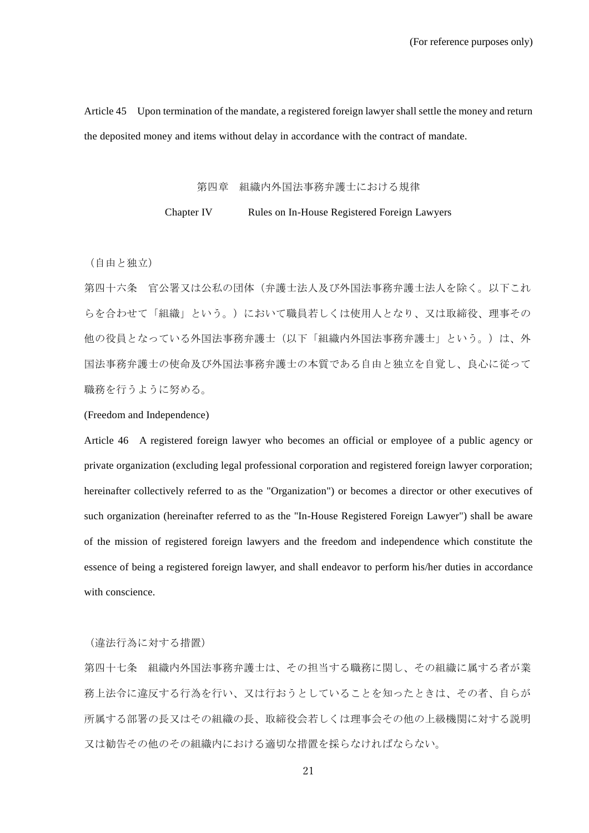Article 45 Upon termination of the mandate, a registered foreign lawyer shall settle the money and return the deposited money and items without delay in accordance with the contract of mandate.

#### 第四章 組織内外国法事務弁護士における規律

# Chapter IV Rules on In-House Registered Foreign Lawyers

(自由と独立)

第四十六条 官公署又は公私の団体(弁護士法人及び外国法事務弁護士法人を除く。以下これ らを合わせて「組織」という。)において職員若しくは使用人となり、又は取締役、理事その 他の役員となっている外国法事務弁護士(以下「組織内外国法事務弁護士」という。)は、外 国法事務弁護士の使命及び外国法事務弁護士の本質である自由と独立を自覚し、良心に従って 職務を行うように努める。

(Freedom and Independence)

Article 46 A registered foreign lawyer who becomes an official or employee of a public agency or private organization (excluding legal professional corporation and registered foreign lawyer corporation; hereinafter collectively referred to as the "Organization") or becomes a director or other executives of such organization (hereinafter referred to as the "In-House Registered Foreign Lawyer") shall be aware of the mission of registered foreign lawyers and the freedom and independence which constitute the essence of being a registered foreign lawyer, and shall endeavor to perform his/her duties in accordance with conscience.

(違法行為に対する措置)

第四十七条 組織内外国法事務弁護士は、その担当する職務に関し、その組織に属する者が業 務上法令に違反する行為を行い、又は行おうとしていることを知ったときは、その者、自らが 所属する部署の長又はその組織の長、取締役会若しくは理事会その他の上級機関に対する説明 又は勧告その他のその組織内における適切な措置を採らなければならない。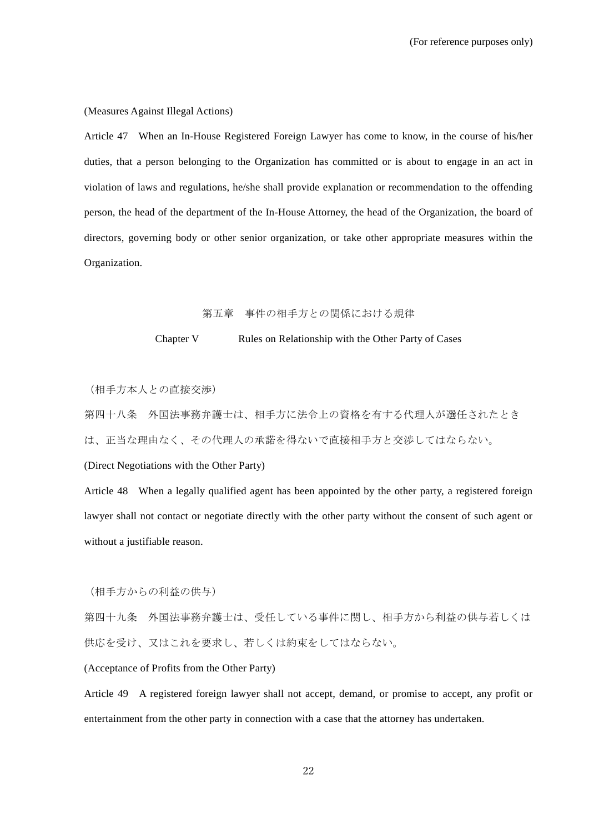(Measures Against Illegal Actions)

Article 47 When an In-House Registered Foreign Lawyer has come to know, in the course of his/her duties, that a person belonging to the Organization has committed or is about to engage in an act in violation of laws and regulations, he/she shall provide explanation or recommendation to the offending person, the head of the department of the In-House Attorney, the head of the Organization, the board of directors, governing body or other senior organization, or take other appropriate measures within the Organization.

# 第五章 事件の相手方との関係における規律

### Chapter V Rules on Relationship with the Other Party of Cases

(相手方本人との直接交渉)

第四十八条 外国法事務弁護士は、相手方に法令上の資格を有する代理人が選任されたとき は、正当な理由なく、その代理人の承諾を得ないで直接相手方と交渉してはならない。

(Direct Negotiations with the Other Party)

Article 48 When a legally qualified agent has been appointed by the other party, a registered foreign lawyer shall not contact or negotiate directly with the other party without the consent of such agent or without a justifiable reason.

(相手方からの利益の供与)

第四十九条 外国法事務弁護士は、受任している事件に関し、相手方から利益の供与若しくは 供応を受け、又はこれを要求し、若しくは約束をしてはならない。

(Acceptance of Profits from the Other Party)

Article 49 A registered foreign lawyer shall not accept, demand, or promise to accept, any profit or entertainment from the other party in connection with a case that the attorney has undertaken.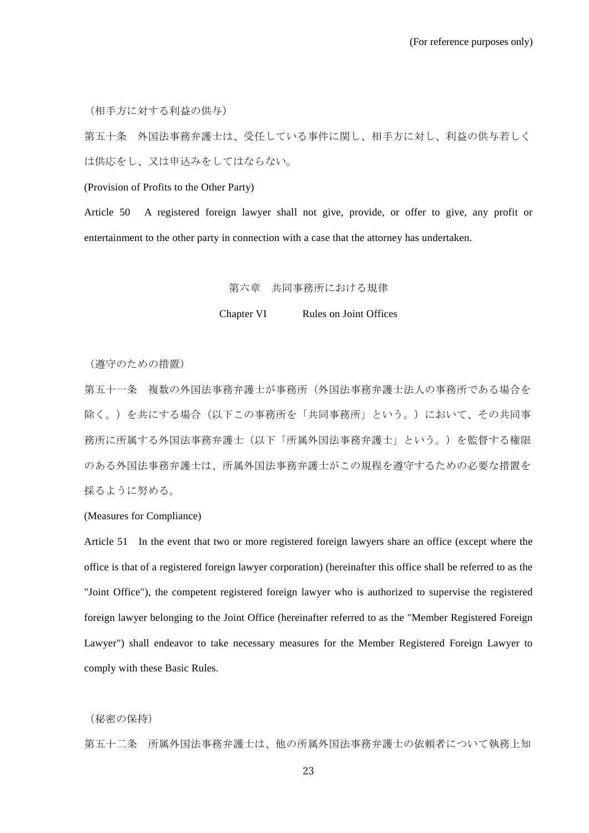(相手方に対する利益の供与)

第五十条 外国法事務弁護士は、受任している事件に関し、相手方に対し、利益の供与若しく は供応をし、又は申込みをしてはならない。

(Provision of Profits to the Other Party)

Article 50 A registered foreign lawyer shall not give, provide, or offer to give, any profit or entertainment to the other party in connection with a case that the attorney has undertaken.

#### 第六章 共同事務所における規律

Chapter VI Rules on Joint Offices

(遵守のための措置)

第五十一条 複数の外国法事務弁護士が事務所(外国法事務弁護士法人の事務所である場合を 除く。)を共にする場合(以下この事務所を「共同事務所」という。)において、その共同事 務所に所属する外国法事務弁護士(以下「所属外国法事務弁護士」という。)を監督する権限 のある外国法事務弁護士は、所属外国法事務弁護士がこの規程を遵守するための必要な措置を 採るように努める。

### (Measures for Compliance)

Article 51 In the event that two or more registered foreign lawyers share an office (except where the office is that of a registered foreign lawyer corporation) (hereinafter this office shall be referred to as the "Joint Office"), the competent registered foreign lawyer who is authorized to supervise the registered foreign lawyer belonging to the Joint Office (hereinafter referred to as the "Member Registered Foreign Lawyer") shall endeavor to take necessary measures for the Member Registered Foreign Lawyer to comply with these Basic Rules.

(秘密の保持)

第五十二条 所属外国法事務弁護士は、他の所属外国法事務弁護士の依頼者について執務上知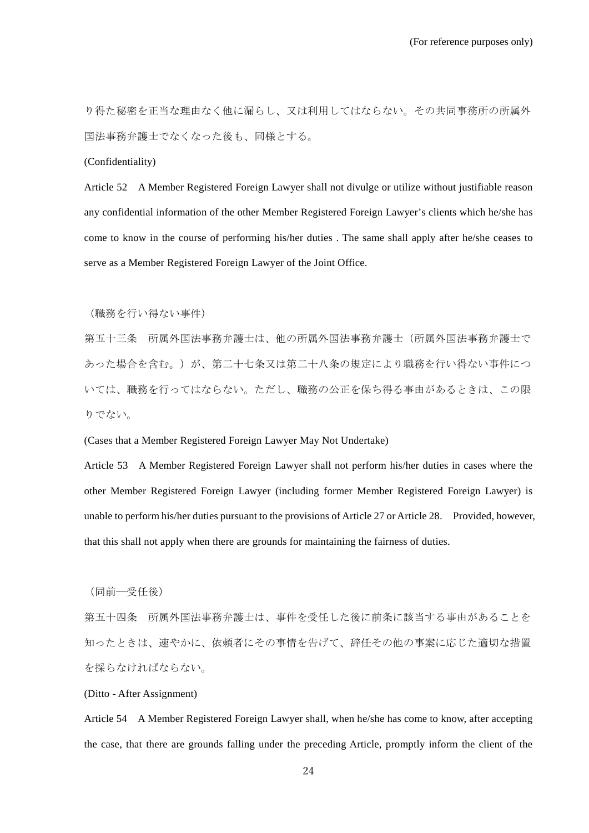り得た秘密を正当な理由なく他に漏らし、又は利用してはならない。その共同事務所の所属外 国法事務弁護士でなくなった後も、同様とする。

(Confidentiality)

Article 52 A Member Registered Foreign Lawyer shall not divulge or utilize without justifiable reason any confidential information of the other Member Registered Foreign Lawyer's clients which he/she has come to know in the course of performing his/her duties . The same shall apply after he/she ceases to serve as a Member Registered Foreign Lawyer of the Joint Office.

(職務を行い得ない事件)

第五十三条 所属外国法事務弁護士は、他の所属外国法事務弁護士(所属外国法事務弁護士で あった場合を含む。)が、第二十七条又は第二十八条の規定により職務を行い得ない事件につ いては、職務を行ってはならない。ただし、職務の公正を保ち得る事由があるときは、この限 りでない。

(Cases that a Member Registered Foreign Lawyer May Not Undertake)

Article 53 A Member Registered Foreign Lawyer shall not perform his/her duties in cases where the other Member Registered Foreign Lawyer (including former Member Registered Foreign Lawyer) is unable to perform his/her duties pursuant to the provisions of Article 27 or Article 28. Provided, however, that this shall not apply when there are grounds for maintaining the fairness of duties.

(同前―受任後)

第五十四条 所属外国法事務弁護士は、事件を受任した後に前条に該当する事由があることを 知ったときは、速やかに、依頼者にその事情を告げて、辞任その他の事案に応じた適切な措置 を採らなければならない。

(Ditto - After Assignment)

Article 54 A Member Registered Foreign Lawyer shall, when he/she has come to know, after accepting the case, that there are grounds falling under the preceding Article, promptly inform the client of the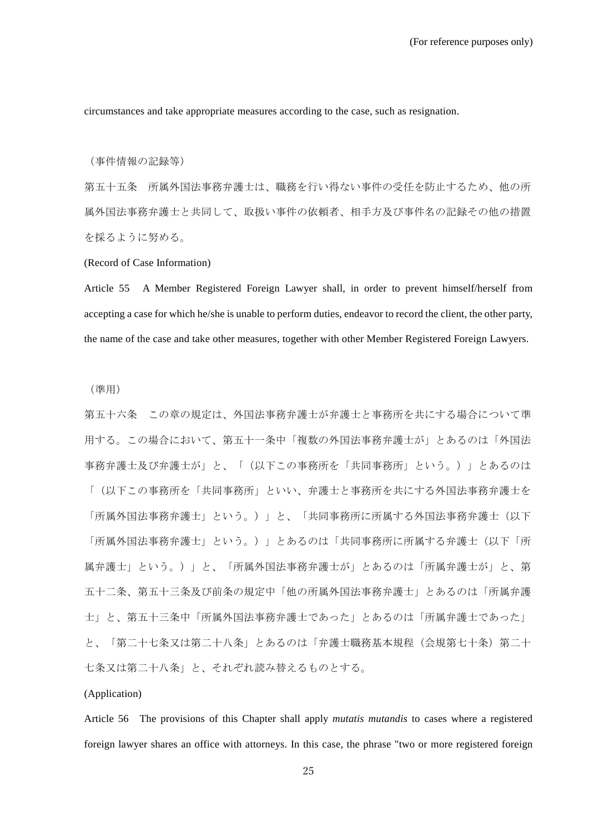circumstances and take appropriate measures according to the case, such as resignation.

(事件情報の記録等)

第五十五条 所属外国法事務弁護士は、職務を行い得ない事件の受任を防止するため、他の所 属外国法事務弁護士と共同して、取扱い事件の依頼者、相手方及び事件名の記録その他の措置 を採るように努める。

(Record of Case Information)

Article 55 A Member Registered Foreign Lawyer shall, in order to prevent himself/herself from accepting a case for which he/she is unable to perform duties, endeavor to record the client, the other party, the name of the case and take other measures, together with other Member Registered Foreign Lawyers.

(準用)

第五十六条 この章の規定は、外国法事務弁護士が弁護士と事務所を共にする場合について準 用する。この場合において、第五十一条中「複数の外国法事務弁護士が」とあるのは「外国法 事務弁護士及び弁護士が」と、「(以下この事務所を「共同事務所」という。)」とあるのは 「(以下この事務所を「共同事務所」といい、弁護士と事務所を共にする外国法事務弁護士を 「所属外国法事務弁護士」という。)」と、「共同事務所に所属する外国法事務弁護士(以下 「所属外国法事務弁護士」という。)」とあるのは「共同事務所に所属する弁護士(以下「所 属弁護士」という。)」と、「所属外国法事務弁護士が」とあるのは「所属弁護士が」と、第 五十二条、第五十三条及び前条の規定中「他の所属外国法事務弁護士」とあるのは「所属弁護 士」と、第五十三条中「所属外国法事務弁護士であった」とあるのは「所属弁護士であった」 と、「第二十七条又は第二十八条」とあるのは「弁護士職務基本規程(会規第七十条)第二十 七条又は第二十八条」と、それぞれ読み替えるものとする。

### (Application)

Article 56 The provisions of this Chapter shall apply *mutatis mutandis* to cases where a registered foreign lawyer shares an office with attorneys. In this case, the phrase "two or more registered foreign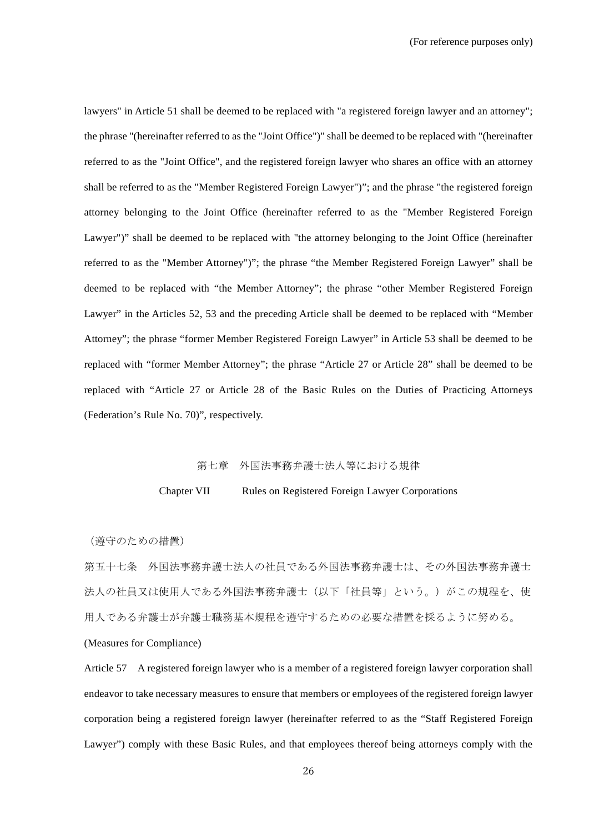lawyers" in Article 51 shall be deemed to be replaced with "a registered foreign lawyer and an attorney"; the phrase "(hereinafter referred to as the "Joint Office")" shall be deemed to be replaced with "(hereinafter referred to as the "Joint Office", and the registered foreign lawyer who shares an office with an attorney shall be referred to as the "Member Registered Foreign Lawyer")"; and the phrase "the registered foreign attorney belonging to the Joint Office (hereinafter referred to as the "Member Registered Foreign Lawyer")" shall be deemed to be replaced with "the attorney belonging to the Joint Office (hereinafter referred to as the "Member Attorney")"; the phrase "the Member Registered Foreign Lawyer" shall be deemed to be replaced with "the Member Attorney"; the phrase "other Member Registered Foreign Lawyer" in the Articles 52, 53 and the preceding Article shall be deemed to be replaced with "Member Attorney"; the phrase "former Member Registered Foreign Lawyer" in Article 53 shall be deemed to be replaced with "former Member Attorney"; the phrase "Article 27 or Article 28" shall be deemed to be replaced with "Article 27 or Article 28 of the Basic Rules on the Duties of Practicing Attorneys (Federation's Rule No. 70)", respectively.

### 第七章 外国法事務弁護士法人等における規律

### Chapter VII Rules on Registered Foreign Lawyer Corporations

(遵守のための措置)

第五十七条 外国法事務弁護士法人の社員である外国法事務弁護士は、その外国法事務弁護士 法人の社員又は使用人である外国法事務弁護士(以下「社員等」という。)がこの規程を、使 用人である弁護士が弁護士職務基本規程を遵守するための必要な措置を採るように努める。

(Measures for Compliance)

Article 57 A registered foreign lawyer who is a member of a registered foreign lawyer corporation shall endeavor to take necessary measures to ensure that members or employees of the registered foreign lawyer corporation being a registered foreign lawyer (hereinafter referred to as the "Staff Registered Foreign Lawyer") comply with these Basic Rules, and that employees thereof being attorneys comply with the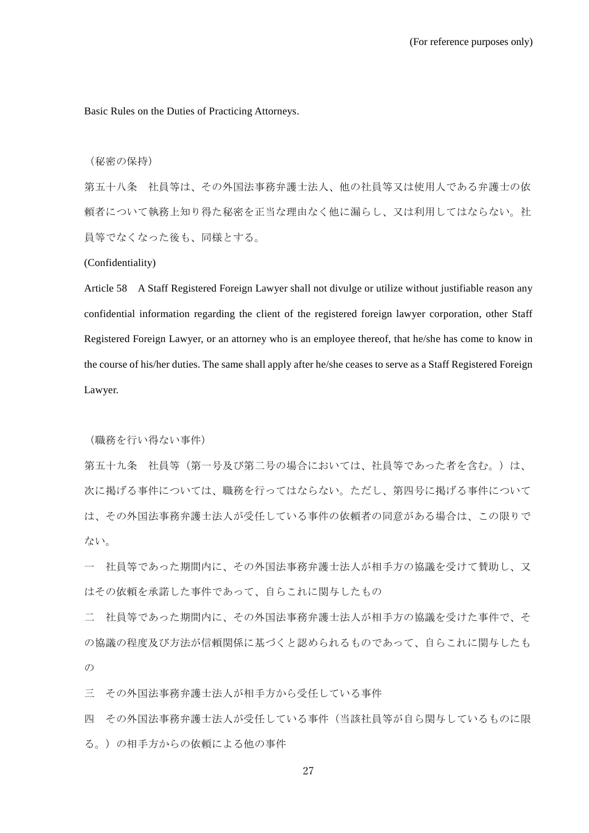Basic Rules on the Duties of Practicing Attorneys.

(秘密の保持)

第五十八条 社員等は、その外国法事務弁護士法人、他の社員等又は使用人である弁護士の依 頼者について執務上知り得た秘密を正当な理由なく他に漏らし、又は利用してはならない。社 員等でなくなった後も、同様とする。

(Confidentiality)

Article 58 A Staff Registered Foreign Lawyer shall not divulge or utilize without justifiable reason any confidential information regarding the client of the registered foreign lawyer corporation, other Staff Registered Foreign Lawyer, or an attorney who is an employee thereof, that he/she has come to know in the course of his/her duties. The same shall apply after he/she ceases to serve as a Staff Registered Foreign Lawyer.

(職務を行い得ない事件)

第五十九条 社員等(第一号及び第二号の場合においては、社員等であった者を含む。)は、 次に掲げる事件については、職務を行ってはならない。ただし、第四号に掲げる事件について は、その外国法事務弁護士法人が受任している事件の依頼者の同意がある場合は、この限りで ない。

一 社員等であった期間内に、その外国法事務弁護士法人が相手方の協議を受けて賛助し、又 はその依頼を承諾した事件であって、自らこれに関与したもの

二 社員等であった期間内に、その外国法事務弁護士法人が相手方の協議を受けた事件で、そ の協議の程度及び方法が信頼関係に基づくと認められるものであって、自らこれに関与したも  $\mathcal{O}$ 

三 その外国法事務弁護士法人が相手方から受任している事件

四 その外国法事務弁護士法人が受任している事件(当該社員等が自ら関与しているものに限 る。)の相手方からの依頼による他の事件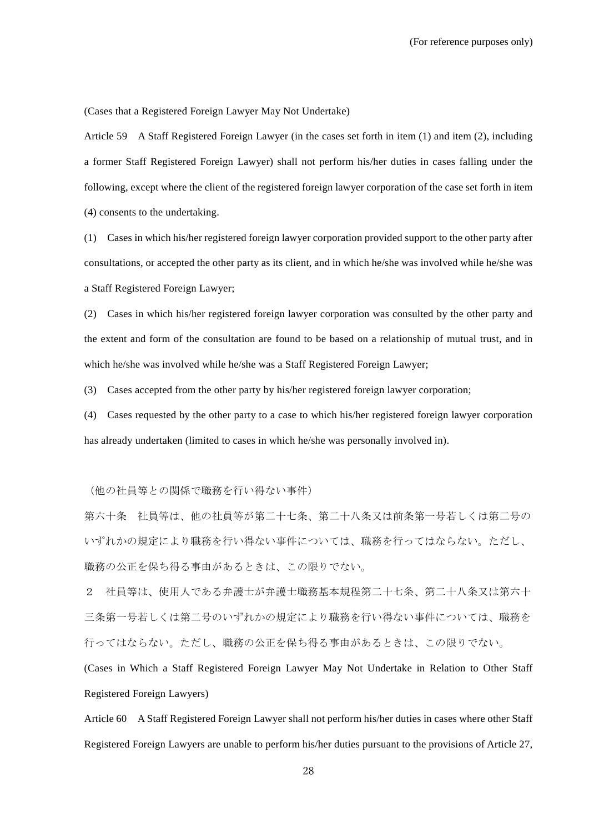(Cases that a Registered Foreign Lawyer May Not Undertake)

Article 59 A Staff Registered Foreign Lawyer (in the cases set forth in item (1) and item (2), including a former Staff Registered Foreign Lawyer) shall not perform his/her duties in cases falling under the following, except where the client of the registered foreign lawyer corporation of the case set forth in item (4) consents to the undertaking.

(1) Cases in which his/her registered foreign lawyer corporation provided support to the other party after consultations, or accepted the other party as its client, and in which he/she was involved while he/she was a Staff Registered Foreign Lawyer;

(2) Cases in which his/her registered foreign lawyer corporation was consulted by the other party and the extent and form of the consultation are found to be based on a relationship of mutual trust, and in which he/she was involved while he/she was a Staff Registered Foreign Lawyer;

(3) Cases accepted from the other party by his/her registered foreign lawyer corporation;

(4) Cases requested by the other party to a case to which his/her registered foreign lawyer corporation has already undertaken (limited to cases in which he/she was personally involved in).

(他の社員等との関係で職務を行い得ない事件)

第六十条 社員等は、他の社員等が第二十七条、第二十八条又は前条第一号若しくは第二号の いずれかの規定により職務を行い得ない事件については、職務を行ってはならない。ただし、 職務の公正を保ち得る事由があるときは、この限りでない。

2 社員等は、使用人である弁護士が弁護士職務基本規程第二十七条、第二十八条又は第六十 三条第一号若しくは第二号のいずれかの規定により職務を行い得ない事件については、職務を 行ってはならない。ただし、職務の公正を保ち得る事由があるときは、この限りでない。

(Cases in Which a Staff Registered Foreign Lawyer May Not Undertake in Relation to Other Staff Registered Foreign Lawyers)

Article 60 A Staff Registered Foreign Lawyer shall not perform his/her duties in cases where other Staff Registered Foreign Lawyers are unable to perform his/her duties pursuant to the provisions of Article 27,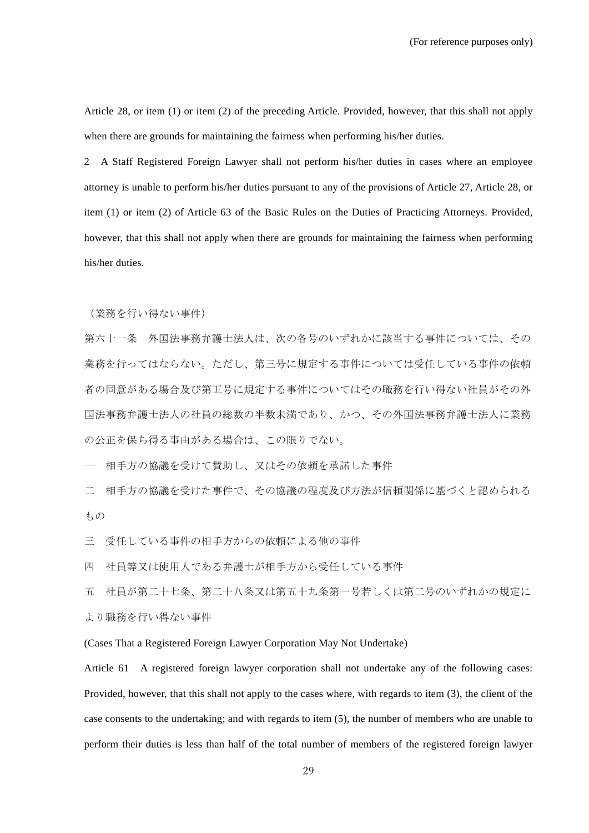Article 28, or item (1) or item (2) of the preceding Article. Provided, however, that this shall not apply when there are grounds for maintaining the fairness when performing his/her duties.

2 A Staff Registered Foreign Lawyer shall not perform his/her duties in cases where an employee attorney is unable to perform his/her duties pursuant to any of the provisions of Article 27, Article 28, or item (1) or item (2) of Article 63 of the Basic Rules on the Duties of Practicing Attorneys. Provided, however, that this shall not apply when there are grounds for maintaining the fairness when performing his/her duties.

(業務を行い得ない事件)

第六十一条 外国法事務弁護士法人は、次の各号のいずれかに該当する事件については、その 業務を行ってはならない。ただし、第三号に規定する事件については受任している事件の依頼 者の同意がある場合及び第五号に規定する事件についてはその職務を行い得ない社員がその外 国法事務弁護士法人の社員の総数の半数未満であり、かつ、その外国法事務弁護士法人に業務 の公正を保ち得る事由がある場合は、この限りでない。

一 相手方の協議を受けて賛助し、又はその依頼を承諾した事件

二 相手方の協議を受けた事件で、その協議の程度及び方法が信頼関係に基づくと認められる もの

三 受任している事件の相手方からの依頼による他の事件

四 社員等又は使用人である弁護士が相手方から受任している事件

五 社員が第二十七条、第二十八条又は第五十九条第一号若しくは第二号のいずれかの規定に より職務を行い得ない事件

(Cases That a Registered Foreign Lawyer Corporation May Not Undertake)

Article 61 A registered foreign lawyer corporation shall not undertake any of the following cases: Provided, however, that this shall not apply to the cases where, with regards to item (3), the client of the case consents to the undertaking; and with regards to item (5), the number of members who are unable to perform their duties is less than half of the total number of members of the registered foreign lawyer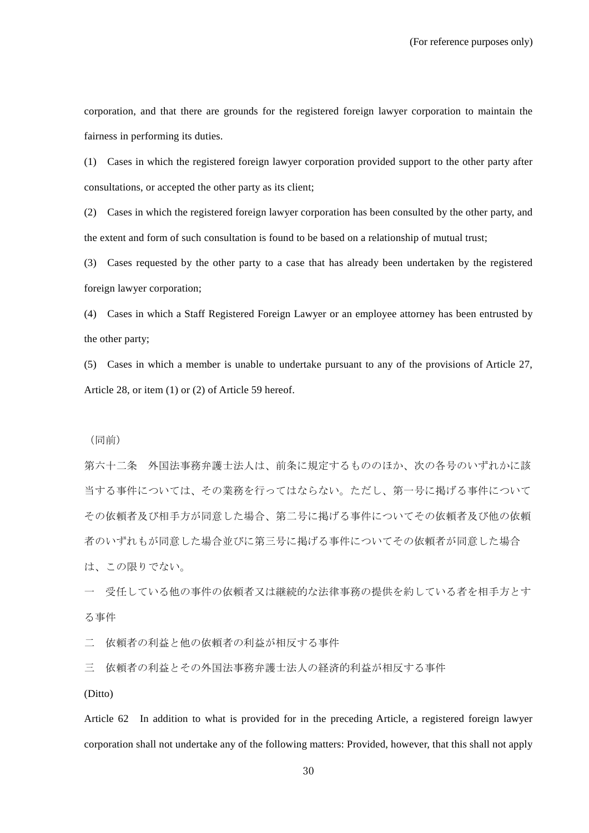corporation, and that there are grounds for the registered foreign lawyer corporation to maintain the fairness in performing its duties.

(1) Cases in which the registered foreign lawyer corporation provided support to the other party after consultations, or accepted the other party as its client;

(2) Cases in which the registered foreign lawyer corporation has been consulted by the other party, and the extent and form of such consultation is found to be based on a relationship of mutual trust;

(3) Cases requested by the other party to a case that has already been undertaken by the registered foreign lawyer corporation;

(4) Cases in which a Staff Registered Foreign Lawyer or an employee attorney has been entrusted by the other party;

(5) Cases in which a member is unable to undertake pursuant to any of the provisions of Article 27, Article 28, or item (1) or (2) of Article 59 hereof.

(同前)

第六十二条 外国法事務弁護士法人は、前条に規定するもののほか、次の各号のいずれかに該 当する事件については、その業務を行ってはならない。ただし、第一号に掲げる事件について その依頼者及び相手方が同意した場合、第二号に掲げる事件についてその依頼者及び他の依頼 者のいずれもが同意した場合並びに第三号に掲げる事件についてその依頼者が同意した場合 は、この限りでない。

一 受任している他の事件の依頼者又は継続的な法律事務の提供を約している者を相手方とす る事件

二 依頼者の利益と他の依頼者の利益が相反する事件

三 依頼者の利益とその外国法事務弁護士法人の経済的利益が相反する事件

(Ditto)

Article 62 In addition to what is provided for in the preceding Article, a registered foreign lawyer corporation shall not undertake any of the following matters: Provided, however, that this shall not apply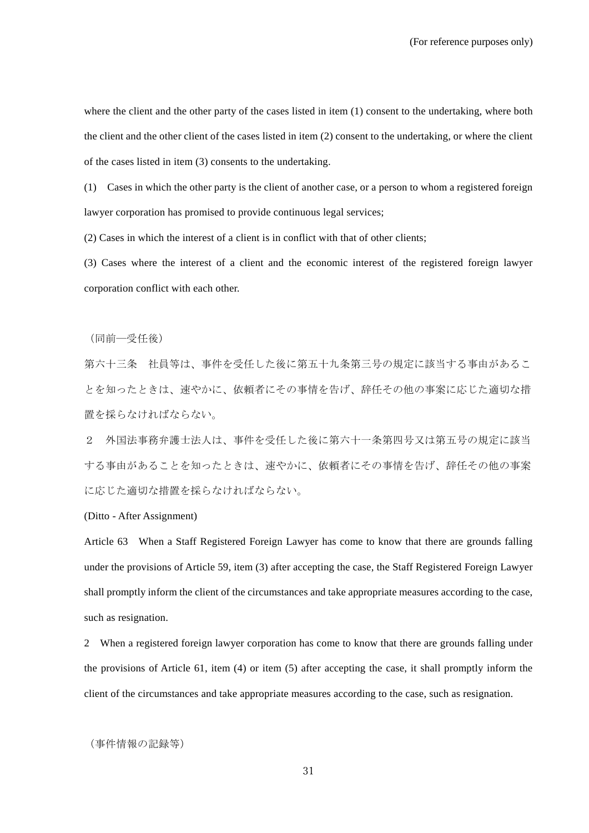where the client and the other party of the cases listed in item (1) consent to the undertaking, where both the client and the other client of the cases listed in item (2) consent to the undertaking, or where the client of the cases listed in item (3) consents to the undertaking.

(1) Cases in which the other party is the client of another case, or a person to whom a registered foreign lawyer corporation has promised to provide continuous legal services;

(2) Cases in which the interest of a client is in conflict with that of other clients;

(3) Cases where the interest of a client and the economic interest of the registered foreign lawyer corporation conflict with each other.

(同前―受任後)

第六十三条 社員等は、事件を受任した後に第五十九条第三号の規定に該当する事由があるこ とを知ったときは、速やかに、依頼者にその事情を告げ、辞任その他の事案に応じた適切な措 置を採らなければならない。

2 外国法事務弁護士法人は、事件を受任した後に第六十一条第四号又は第五号の規定に該当 する事由があることを知ったときは、速やかに、依頼者にその事情を告げ、辞任その他の事案 に応じた適切な措置を採らなければならない。

(Ditto - After Assignment)

Article 63 When a Staff Registered Foreign Lawyer has come to know that there are grounds falling under the provisions of Article 59, item (3) after accepting the case, the Staff Registered Foreign Lawyer shall promptly inform the client of the circumstances and take appropriate measures according to the case, such as resignation.

2 When a registered foreign lawyer corporation has come to know that there are grounds falling under the provisions of Article 61, item (4) or item (5) after accepting the case, it shall promptly inform the client of the circumstances and take appropriate measures according to the case, such as resignation.

(事件情報の記録等)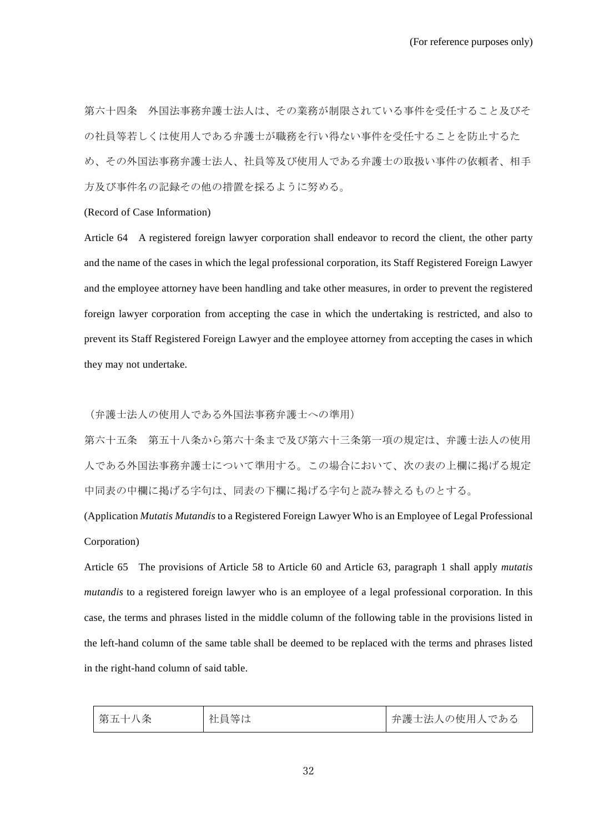第六十四条 外国法事務弁護士法人は、その業務が制限されている事件を受任すること及びそ の社員等若しくは使用人である弁護士が職務を行い得ない事件を受任することを防止するた め、その外国法事務弁護士法人、社員等及び使用人である弁護士の取扱い事件の依頼者、相手 方及び事件名の記録その他の措置を採るように努める。

# (Record of Case Information)

Article 64 A registered foreign lawyer corporation shall endeavor to record the client, the other party and the name of the cases in which the legal professional corporation, its Staff Registered Foreign Lawyer and the employee attorney have been handling and take other measures, in order to prevent the registered foreign lawyer corporation from accepting the case in which the undertaking is restricted, and also to prevent its Staff Registered Foreign Lawyer and the employee attorney from accepting the cases in which they may not undertake.

(弁護士法人の使用人である外国法事務弁護士への準用)

第六十五条 第五十八条から第六十条まで及び第六十三条第一項の規定は、弁護士法人の使用 人である外国法事務弁護士について準用する。この場合において、次の表の上欄に掲げる規定 中同表の中欄に掲げる字句は、同表の下欄に掲げる字句と読み替えるものとする。

(Application *Mutatis Mutandis* to a Registered Foreign Lawyer Who is an Employee of Legal Professional Corporation)

Article 65 The provisions of Article 58 to Article 60 and Article 63, paragraph 1 shall apply *mutatis mutandis* to a registered foreign lawyer who is an employee of a legal professional corporation. In this case, the terms and phrases listed in the middle column of the following table in the provisions listed in the left-hand column of the same table shall be deemed to be replaced with the terms and phrases listed in the right-hand column of said table.

| 第五十八条 | 社員等は | 弁護士法人の使用人である |
|-------|------|--------------|
|-------|------|--------------|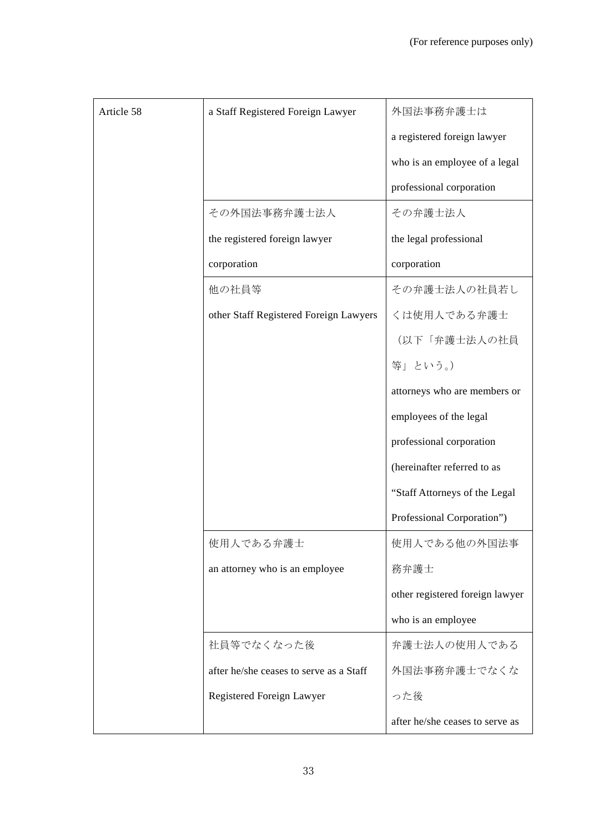| Article 58 | a Staff Registered Foreign Lawyer       | 外国法事務弁護士は                       |
|------------|-----------------------------------------|---------------------------------|
|            |                                         | a registered foreign lawyer     |
|            |                                         | who is an employee of a legal   |
|            |                                         | professional corporation        |
|            | その外国法事務弁護士法人                            | その弁護士法人                         |
|            | the registered foreign lawyer           | the legal professional          |
|            | corporation                             | corporation                     |
|            | 他の社員等                                   | その弁護士法人の社員若し                    |
|            | other Staff Registered Foreign Lawyers  | くは使用人である弁護士                     |
|            |                                         | (以下「弁護士法人の社員                    |
|            |                                         | 等」という。)                         |
|            |                                         | attorneys who are members or    |
|            |                                         | employees of the legal          |
|            |                                         | professional corporation        |
|            |                                         | (hereinafter referred to as     |
|            |                                         | "Staff Attorneys of the Legal   |
|            |                                         | Professional Corporation")      |
|            | 使用人である弁護士                               | 使用人である他の外国法事                    |
|            | an attorney who is an employee          | 務弁護士                            |
|            |                                         | other registered foreign lawyer |
|            |                                         | who is an employee              |
|            | 社員等でなくなった後                              | 弁護士法人の使用人である                    |
|            | after he/she ceases to serve as a Staff | 外国法事務弁護士でなくな                    |
|            | Registered Foreign Lawyer               | った後                             |
|            |                                         | after he/she ceases to serve as |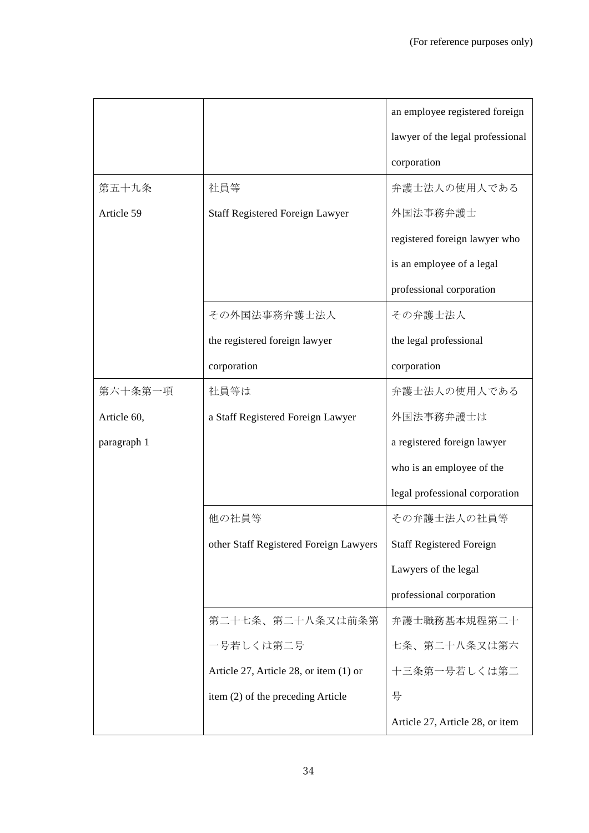|             |                                        | an employee registered foreign   |
|-------------|----------------------------------------|----------------------------------|
|             |                                        | lawyer of the legal professional |
|             |                                        | corporation                      |
| 第五十九条       | 社員等                                    | 弁護士法人の使用人である                     |
| Article 59  | Staff Registered Foreign Lawyer        | 外国法事務弁護士                         |
|             |                                        | registered foreign lawyer who    |
|             |                                        | is an employee of a legal        |
|             |                                        | professional corporation         |
|             | その外国法事務弁護士法人                           | その弁護士法人                          |
|             | the registered foreign lawyer          | the legal professional           |
|             | corporation                            | corporation                      |
| 第六十条第一項     | 社員等は                                   | 弁護士法人の使用人である                     |
| Article 60, | a Staff Registered Foreign Lawyer      | 外国法事務弁護士は                        |
| paragraph 1 |                                        | a registered foreign lawyer      |
|             |                                        | who is an employee of the        |
|             |                                        | legal professional corporation   |
|             | 他の社員等                                  | その弁護士法人の社員等                      |
|             | other Staff Registered Foreign Lawyers | <b>Staff Registered Foreign</b>  |
|             |                                        | Lawyers of the legal             |
|             |                                        | professional corporation         |
|             | 第二十七条、第二十八条又は前条第                       | 弁護士職務基本規程第二十                     |
|             | 一号若しくは第二号                              | 七条、第二十八条又は第六                     |
|             | Article 27, Article 28, or item (1) or | 十三条第一号若しくは第二                     |
|             | item (2) of the preceding Article      | 号                                |
|             |                                        | Article 27, Article 28, or item  |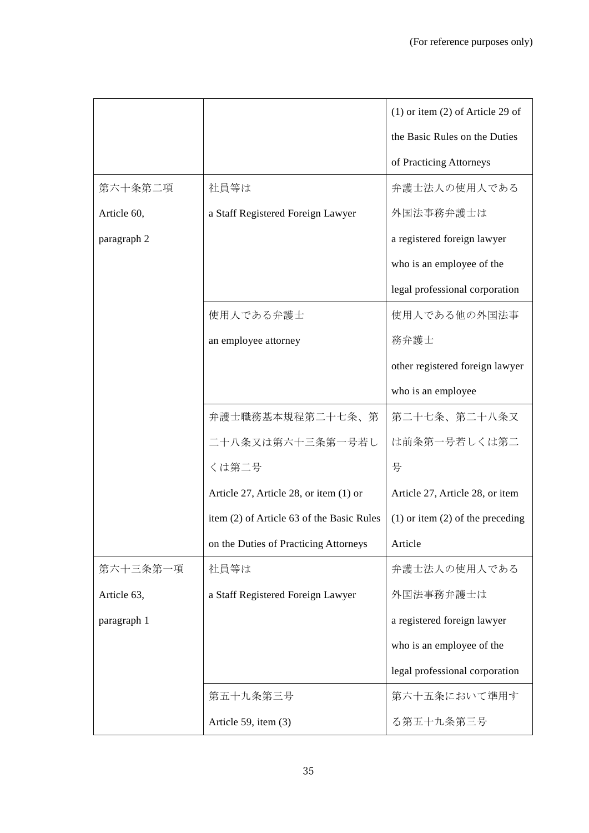|             |                                           | $(1)$ or item $(2)$ of Article 29 of |
|-------------|-------------------------------------------|--------------------------------------|
|             |                                           | the Basic Rules on the Duties        |
|             |                                           | of Practicing Attorneys              |
| 第六十条第二項     | 社員等は                                      | 弁護士法人の使用人である                         |
| Article 60, | a Staff Registered Foreign Lawyer         | 外国法事務弁護士は                            |
| paragraph 2 |                                           | a registered foreign lawyer          |
|             |                                           | who is an employee of the            |
|             |                                           | legal professional corporation       |
|             | 使用人である弁護士                                 | 使用人である他の外国法事                         |
|             | an employee attorney                      | 務弁護士                                 |
|             |                                           | other registered foreign lawyer      |
|             |                                           | who is an employee                   |
|             | 弁護士職務基本規程第二十七条、第                          | 第二十七条、第二十八条又                         |
|             | 二十八条又は第六十三条第一号若し                          | は前条第一号若しくは第二                         |
|             | くは第二号                                     | 号                                    |
|             | Article 27, Article 28, or item (1) or    | Article 27, Article 28, or item      |
|             | item (2) of Article 63 of the Basic Rules | $(1)$ or item $(2)$ of the preceding |
|             | on the Duties of Practicing Attorneys     | Article                              |
| 第六十三条第一項    | 社員等は                                      | 弁護士法人の使用人である                         |
| Article 63, | a Staff Registered Foreign Lawyer         | 外国法事務弁護士は                            |
| paragraph 1 |                                           | a registered foreign lawyer          |
|             |                                           | who is an employee of the            |
|             |                                           | legal professional corporation       |
|             | 第五十九条第三号                                  | 第六十五条において準用す                         |
|             | Article 59, item (3)                      | る第五十九条第三号                            |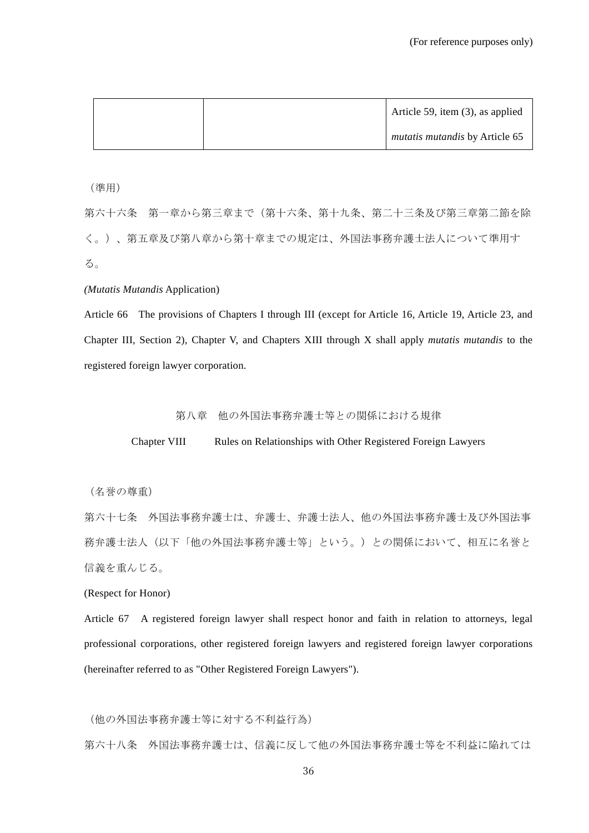|  | Article 59, item $(3)$ , as applied |
|--|-------------------------------------|
|  | mutatis mutandis by Article 65      |

(準用)

第六十六条 第一章から第三章まで(第十六条、第十九条、第二十三条及び第三章第二節を除 く。)、第五章及び第八章から第十章までの規定は、外国法事務弁護士法人について準用す る。

#### *(Mutatis Mutandis* Application)

Article 66 The provisions of Chapters I through III (except for Article 16, Article 19, Article 23, and Chapter III, Section 2), Chapter V, and Chapters XIII through X shall apply *mutatis mutandis* to the registered foreign lawyer corporation.

第八章 他の外国法事務弁護士等との関係における規律

Chapter VIII Rules on Relationships with Other Registered Foreign Lawyers

(名誉の尊重)

第六十七条 外国法事務弁護士は、弁護士、弁護士法人、他の外国法事務弁護士及び外国法事 務弁護士法人(以下「他の外国法事務弁護士等」という。)との関係において、相互に名誉と 信義を重んじる。

(Respect for Honor)

Article 67 A registered foreign lawyer shall respect honor and faith in relation to attorneys, legal professional corporations, other registered foreign lawyers and registered foreign lawyer corporations (hereinafter referred to as "Other Registered Foreign Lawyers").

(他の外国法事務弁護士等に対する不利益行為)

第六十八条 外国法事務弁護士は、信義に反して他の外国法事務弁護士等を不利益に陥れては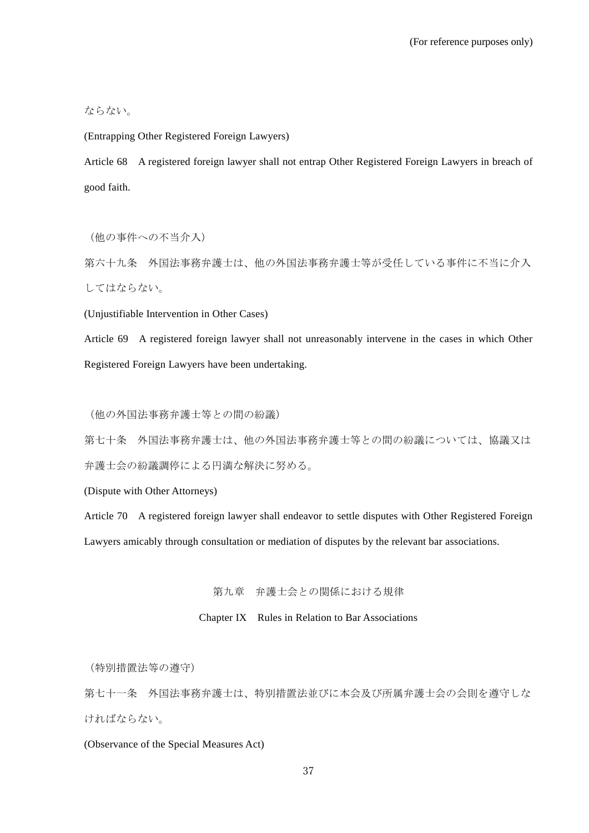# ならない。

(Entrapping Other Registered Foreign Lawyers)

Article 68 A registered foreign lawyer shall not entrap Other Registered Foreign Lawyers in breach of good faith.

(他の事件への不当介入)

第六十九条 外国法事務弁護士は、他の外国法事務弁護士等が受任している事件に不当に介入 してはならない。

(Unjustifiable Intervention in Other Cases)

Article 69 A registered foreign lawyer shall not unreasonably intervene in the cases in which Other Registered Foreign Lawyers have been undertaking.

(他の外国法事務弁護士等との間の紛議)

第七十条 外国法事務弁護士は、他の外国法事務弁護士等との間の紛議については、協議又は 弁護士会の紛議調停による円満な解決に努める。

(Dispute with Other Attorneys)

Article 70 A registered foreign lawyer shall endeavor to settle disputes with Other Registered Foreign Lawyers amicably through consultation or mediation of disputes by the relevant bar associations.

第九章 弁護士会との関係における規律

Chapter IX Rules in Relation to Bar Associations

(特別措置法等の遵守)

第七十一条 外国法事務弁護士は、特別措置法並びに本会及び所属弁護士会の会則を遵守しな ければならない。

(Observance of the Special Measures Act)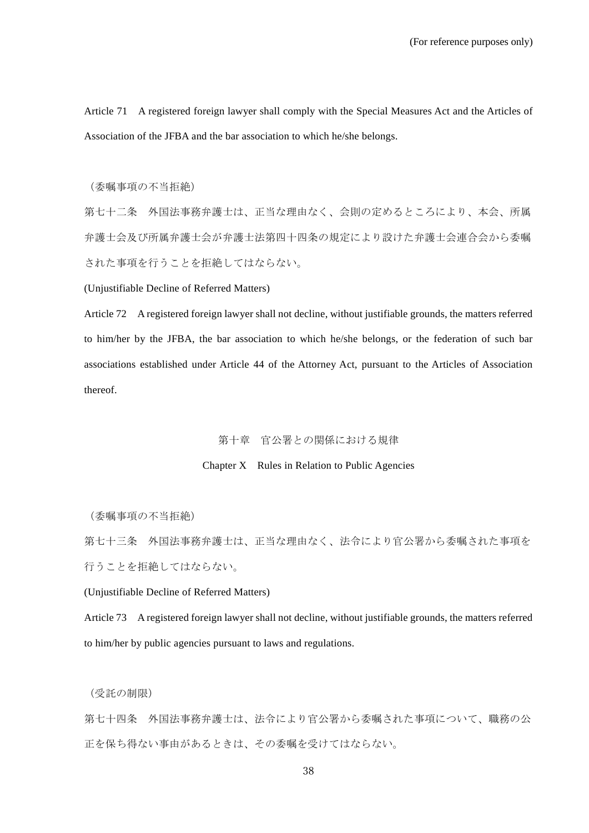Article 71 A registered foreign lawyer shall comply with the Special Measures Act and the Articles of Association of the JFBA and the bar association to which he/she belongs.

(委嘱事項の不当拒絶)

第七十二条 外国法事務弁護士は、正当な理由なく、会則の定めるところにより、本会、所属 弁護士会及び所属弁護士会が弁護士法第四十四条の規定により設けた弁護士会連合会から委嘱 された事項を行うことを拒絶してはならない。

(Unjustifiable Decline of Referred Matters)

Article 72 A registered foreign lawyer shall not decline, without justifiable grounds, the matters referred to him/her by the JFBA, the bar association to which he/she belongs, or the federation of such bar associations established under Article 44 of the Attorney Act, pursuant to the Articles of Association thereof.

第十章 官公署との関係における規律

### Chapter X Rules in Relation to Public Agencies

(委嘱事項の不当拒絶)

第七十三条 外国法事務弁護士は、正当な理由なく、法令により官公署から委嘱された事項を 行うことを拒絶してはならない。

(Unjustifiable Decline of Referred Matters)

Article 73 A registered foreign lawyer shall not decline, without justifiable grounds, the matters referred to him/her by public agencies pursuant to laws and regulations.

(受託の制限)

第七十四条 外国法事務弁護士は、法令により官公署から委嘱された事項について、職務の公 正を保ち得ない事由があるときは、その委嘱を受けてはならない。